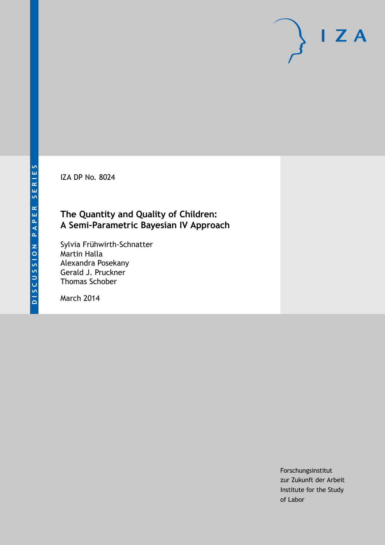IZA DP No. 8024

# **The Quantity and Quality of Children: A Semi-Parametric Bayesian IV Approach**

Sylvia Frühwirth-Schnatter Martin Halla Alexandra Posekany Gerald J. Pruckner Thomas Schober

March 2014

Forschungsinstitut zur Zukunft der Arbeit Institute for the Study of Labor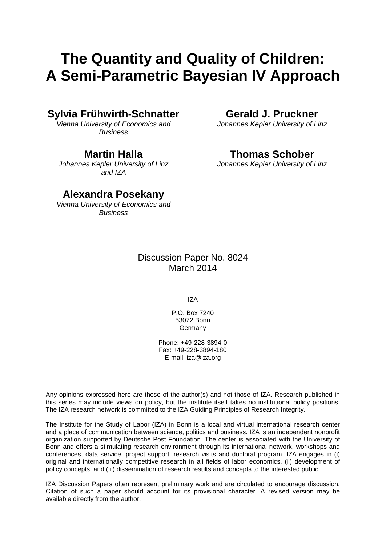# **The Quantity and Quality of Children: A Semi-Parametric Bayesian IV Approach**

### **Sylvia Frühwirth-Schnatter**

*Vienna University of Economics and Business*

### **Martin Halla**

*Johannes Kepler University of Linz and IZA*

### **Alexandra Posekany**

*Vienna University of Economics and Business*

### Discussion Paper No. 8024 March 2014

IZA

P.O. Box 7240 53072 Bonn **Germany** 

Phone: +49-228-3894-0 Fax: +49-228-3894-180 E-mail: [iza@iza.org](mailto:iza@iza.org)

Any opinions expressed here are those of the author(s) and not those of IZA. Research published in this series may include views on policy, but the institute itself takes no institutional policy positions. The IZA research network is committed to the IZA Guiding Principles of Research Integrity.

The Institute for the Study of Labor (IZA) in Bonn is a local and virtual international research center and a place of communication between science, politics and business. IZA is an independent nonprofit organization supported by Deutsche Post Foundation. The center is associated with the University of Bonn and offers a stimulating research environment through its international network, workshops and conferences, data service, project support, research visits and doctoral program. IZA engages in (i) original and internationally competitive research in all fields of labor economics, (ii) development of policy concepts, and (iii) dissemination of research results and concepts to the interested public.

<span id="page-1-0"></span>IZA Discussion Papers often represent preliminary work and are circulated to encourage discussion. Citation of such a paper should account for its provisional character. A revised version may be available directly from the author.

**Gerald J. Pruckner**

*Johannes Kepler University of Linz*

# **Thomas Schober**

*Johannes Kepler University of Linz*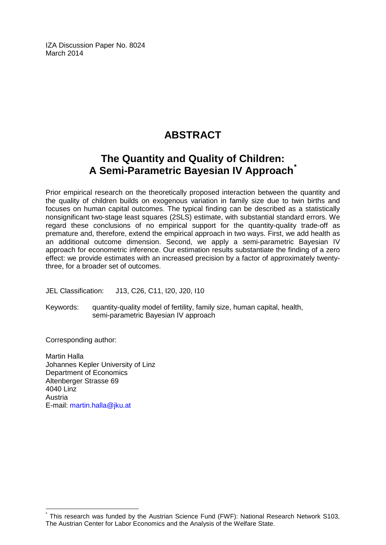IZA Discussion Paper No. 8024 March 2014

# **ABSTRACT**

# **The Quantity and Quality of Children: A Semi-Parametric Bayesian IV Approach[\\*](#page-1-0)**

Prior empirical research on the theoretically proposed interaction between the quantity and the quality of children builds on exogenous variation in family size due to twin births and focuses on human capital outcomes. The typical finding can be described as a statistically nonsignificant two-stage least squares (2SLS) estimate, with substantial standard errors. We regard these conclusions of no empirical support for the quantity-quality trade-off as premature and, therefore, extend the empirical approach in two ways. First, we add health as an additional outcome dimension. Second, we apply a semi-parametric Bayesian IV approach for econometric inference. Our estimation results substantiate the finding of a zero effect: we provide estimates with an increased precision by a factor of approximately twentythree, for a broader set of outcomes.

JEL Classification: J13, C26, C11, I20, J20, I10

Keywords: quantity-quality model of fertility, family size, human capital, health, semi-parametric Bayesian IV approach

Corresponding author:

Martin Halla Johannes Kepler University of Linz Department of Economics Altenberger Strasse 69 4040 Linz Austria E-mail: [martin.halla@jku.at](mailto:martin.halla@jku.at)

This research was funded by the Austrian Science Fund (FWF): National Research Network S103, The Austrian Center for Labor Economics and the Analysis of the Welfare State.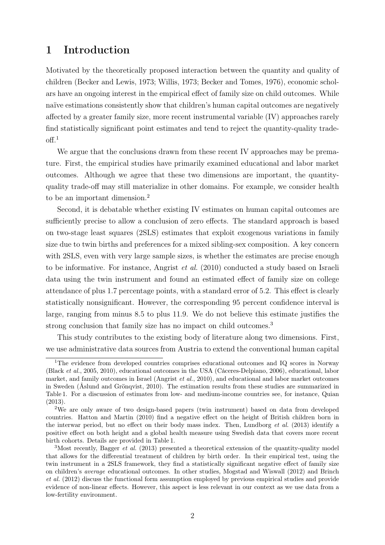### 1 Introduction

Motivated by the theoretically proposed interaction between the quantity and quality of children (Becker and Lewis, 1973; Willis, 1973; Becker and Tomes, 1976), economic scholars have an ongoing interest in the empirical effect of family size on child outcomes. While naïve estimations consistently show that children's human capital outcomes are negatively affected by a greater family size, more recent instrumental variable (IV) approaches rarely find statistically significant point estimates and tend to reject the quantity-quality trade- $\mathrm{off.}1$ 

We argue that the conclusions drawn from these recent IV approaches may be premature. First, the empirical studies have primarily examined educational and labor market outcomes. Although we agree that these two dimensions are important, the quantityquality trade-off may still materialize in other domains. For example, we consider health to be an important dimension.<sup>2</sup>

Second, it is debatable whether existing IV estimates on human capital outcomes are sufficiently precise to allow a conclusion of zero effects. The standard approach is based on two-stage least squares (2SLS) estimates that exploit exogenous variations in family size due to twin births and preferences for a mixed sibling-sex composition. A key concern with 2SLS, even with very large sample sizes, is whether the estimates are precise enough to be informative. For instance, Angrist et al. (2010) conducted a study based on Israeli data using the twin instrument and found an estimated effect of family size on college attendance of plus 1.7 percentage points, with a standard error of 5.2. This effect is clearly statistically nonsignificant. However, the corresponding 95 percent confidence interval is large, ranging from minus 8.5 to plus 11.9. We do not believe this estimate justifies the strong conclusion that family size has no impact on child outcomes.<sup>3</sup>

This study contributes to the existing body of literature along two dimensions. First, we use administrative data sources from Austria to extend the conventional human capital

<sup>&</sup>lt;sup>1</sup>The evidence from developed countries comprises educational outcomes and IQ scores in Norway (Black et al., 2005, 2010), educational outcomes in the USA (Cáceres-Delpiano, 2006), educational, labor market, and family outcomes in Israel (Angrist et al., 2010), and educational and labor market outcomes in Sweden (Åslund and Grönqvist, 2010). The estimation results from these studies are summarized in Table 1. For a discussion of estimates from low- and medium-income countries see, for instance, Quian (2013).

<sup>2</sup>We are only aware of two design-based papers (twin instrument) based on data from developed countries. Hatton and Martin (2010) find a negative effect on the height of British children born in the interwar period, but no effect on their body mass index. Then, Lundborg et al. (2013) identify a positive effect on both height and a global health measure using Swedish data that covers more recent birth cohorts. Details are provided in Table 1.

<sup>&</sup>lt;sup>3</sup>Most recently, Bagger *et al.* (2013) presented a theoretical extension of the quantity-quality model that allows for the differential treatment of children by birth order. In their empirical test, using the twin instrument in a 2SLS framework, they find a statistically significant negative effect of family size on children's average educational outcomes. In other studies, Mogstad and Wiswall (2012) and Brinch et al. (2012) discuss the functional form assumption employed by previous empirical studies and provide evidence of non-linear effects. However, this aspect is less relevant in our context as we use data from a low-fertility environment.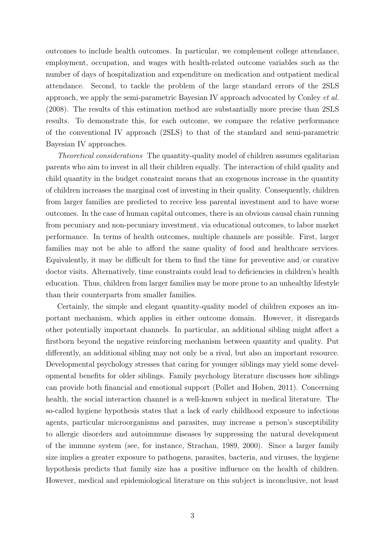outcomes to include health outcomes. In particular, we complement college attendance, employment, occupation, and wages with health-related outcome variables such as the number of days of hospitalization and expenditure on medication and outpatient medical attendance. Second, to tackle the problem of the large standard errors of the 2SLS approach, we apply the semi-parametric Bayesian IV approach advocated by Conley et al. (2008). The results of this estimation method are substantially more precise than 2SLS results. To demonstrate this, for each outcome, we compare the relative performance of the conventional IV approach (2SLS) to that of the standard and semi-parametric Bayesian IV approaches.

Theoretical considerations The quantity-quality model of children assumes egalitarian parents who aim to invest in all their children equally. The interaction of child quality and child quantity in the budget constraint means that an exogenous increase in the quantity of children increases the marginal cost of investing in their quality. Consequently, children from larger families are predicted to receive less parental investment and to have worse outcomes. In the case of human capital outcomes, there is an obvious causal chain running from pecuniary and non-pecuniary investment, via educational outcomes, to labor market performance. In terms of health outcomes, multiple channels are possible. First, larger families may not be able to afford the same quality of food and healthcare services. Equivalently, it may be difficult for them to find the time for preventive and/or curative doctor visits. Alternatively, time constraints could lead to deficiencies in children's health education. Thus, children from larger families may be more prone to an unhealthy lifestyle than their counterparts from smaller families.

Certainly, the simple and elegant quantity-quality model of children exposes an important mechanism, which applies in either outcome domain. However, it disregards other potentially important channels. In particular, an additional sibling might affect a firstborn beyond the negative reinforcing mechanism between quantity and quality. Put differently, an additional sibling may not only be a rival, but also an important resource. Developmental psychology stresses that caring for younger siblings may yield some developmental benefits for older siblings. Family psychology literature discusses how siblings can provide both financial and emotional support (Pollet and Hoben, 2011). Concerning health, the social interaction channel is a well-known subject in medical literature. The so-called hygiene hypothesis states that a lack of early childhood exposure to infectious agents, particular microorganisms and parasites, may increase a person's susceptibility to allergic disorders and autoimmune diseases by suppressing the natural development of the immune system (see, for instance, Strachan, 1989, 2000). Since a larger family size implies a greater exposure to pathogens, parasites, bacteria, and viruses, the hygiene hypothesis predicts that family size has a positive influence on the health of children. However, medical and epidemiological literature on this subject is inconclusive, not least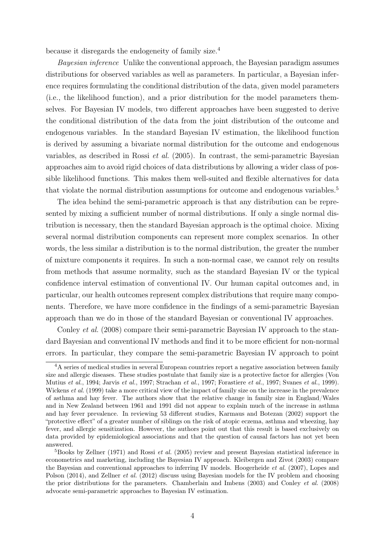because it disregards the endogeneity of family size.<sup>4</sup>

Bayesian inference Unlike the conventional approach, the Bayesian paradigm assumes distributions for observed variables as well as parameters. In particular, a Bayesian inference requires formulating the conditional distribution of the data, given model parameters (i.e., the likelihood function), and a prior distribution for the model parameters themselves. For Bayesian IV models, two different approaches have been suggested to derive the conditional distribution of the data from the joint distribution of the outcome and endogenous variables. In the standard Bayesian IV estimation, the likelihood function is derived by assuming a bivariate normal distribution for the outcome and endogenous variables, as described in Rossi *et al.*  $(2005)$ . In contrast, the semi-parametric Bayesian approaches aim to avoid rigid choices of data distributions by allowing a wider class of possible likelihood functions. This makes them well-suited and flexible alternatives for data that violate the normal distribution assumptions for outcome and endogenous variables.<sup>5</sup>

The idea behind the semi-parametric approach is that any distribution can be represented by mixing a sufficient number of normal distributions. If only a single normal distribution is necessary, then the standard Bayesian approach is the optimal choice. Mixing several normal distribution components can represent more complex scenarios. In other words, the less similar a distribution is to the normal distribution, the greater the number of mixture components it requires. In such a non-normal case, we cannot rely on results from methods that assume normality, such as the standard Bayesian IV or the typical confidence interval estimation of conventional IV. Our human capital outcomes and, in particular, our health outcomes represent complex distributions that require many components. Therefore, we have more confidence in the findings of a semi-parametric Bayesian approach than we do in those of the standard Bayesian or conventional IV approaches.

Conley et al. (2008) compare their semi-parametric Bayesian IV approach to the standard Bayesian and conventional IV methods and find it to be more efficient for non-normal errors. In particular, they compare the semi-parametric Bayesian IV approach to point

 ${}^{4}A$  series of medical studies in several European countries report a negative association between family size and allergic diseases. These studies postulate that family size is a protective factor for allergies (Von Mutius et al., 1994; Jarvis et al., 1997; Strachan et al., 1997; Forastiere et al., 1997; Svanes et al., 1999). Wickens *et al.* (1999) take a more critical view of the impact of family size on the increase in the prevalence of asthma and hay fever. The authors show that the relative change in family size in England/Wales and in New Zealand between 1961 and 1991 did not appear to explain much of the increase in asthma and hay fever prevalence. In reviewing 53 different studies, Karmaus and Botezan (2002) support the "protective effect" of a greater number of siblings on the risk of atopic eczema, asthma and wheezing, hay fever, and allergic sensitization. However, the authors point out that this result is based exclusively on data provided by epidemiological associations and that the question of causal factors has not yet been answered.

 ${}^{5}$ Books by Zellner (1971) and Rossi *et al.* (2005) review and present Bayesian statistical inference in econometrics and marketing, including the Bayesian IV approach. Kleibergen and Zivot (2003) compare the Bayesian and conventional approaches to inferring IV models. Hoogerheide et al. (2007), Lopes and Polson (2014), and Zellner et al. (2012) discuss using Bayesian models for the IV problem and choosing the prior distributions for the parameters. Chamberlain and Imbens (2003) and Conley et al. (2008) advocate semi-parametric approaches to Bayesian IV estimation.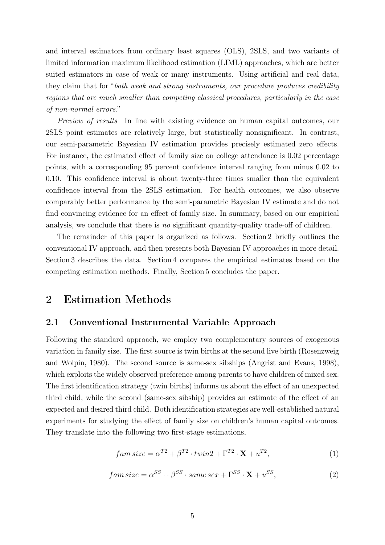and interval estimators from ordinary least squares (OLS), 2SLS, and two variants of limited information maximum likelihood estimation (LIML) approaches, which are better suited estimators in case of weak or many instruments. Using artificial and real data, they claim that for "both weak and strong instruments, our procedure produces credibility regions that are much smaller than competing classical procedures, particularly in the case of non-normal errors."

Preview of results In line with existing evidence on human capital outcomes, our 2SLS point estimates are relatively large, but statistically nonsignificant. In contrast, our semi-parametric Bayesian IV estimation provides precisely estimated zero effects. For instance, the estimated effect of family size on college attendance is 0.02 percentage points, with a corresponding 95 percent confidence interval ranging from minus 0.02 to 0.10. This confidence interval is about twenty-three times smaller than the equivalent confidence interval from the 2SLS estimation. For health outcomes, we also observe comparably better performance by the semi-parametric Bayesian IV estimate and do not find convincing evidence for an effect of family size. In summary, based on our empirical analysis, we conclude that there is no significant quantity-quality trade-off of children.

The remainder of this paper is organized as follows. Section 2 briefly outlines the conventional IV approach, and then presents both Bayesian IV approaches in more detail. Section 3 describes the data. Section 4 compares the empirical estimates based on the competing estimation methods. Finally, Section 5 concludes the paper.

### 2 Estimation Methods

#### 2.1 Conventional Instrumental Variable Approach

Following the standard approach, we employ two complementary sources of exogenous variation in family size. The first source is twin births at the second live birth (Rosenzweig and Wolpin, 1980). The second source is same-sex sibships (Angrist and Evans, 1998), which exploits the widely observed preference among parents to have children of mixed sex. The first identification strategy (twin births) informs us about the effect of an unexpected third child, while the second (same-sex sibship) provides an estimate of the effect of an expected and desired third child. Both identification strategies are well-established natural experiments for studying the effect of family size on children's human capital outcomes. They translate into the following two first-stage estimations,

$$
fam \, size = \alpha^{T2} + \beta^{T2} \cdot twin2 + \Gamma^{T2} \cdot \mathbf{X} + u^{T2},\tag{1}
$$

$$
fam size = \alpha^{SS} + \beta^{SS} \cdot same \, sex + \Gamma^{SS} \cdot \mathbf{X} + u^{SS},\tag{2}
$$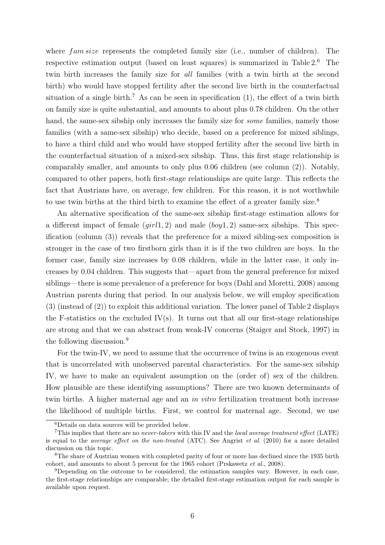where  $f_{am\text{ size}}$  represents the completed family size (i.e., number of children). The respective estimation output (based on least squares) is summarized in Table 2.<sup>6</sup> The twin birth increases the family size for all families (with a twin birth at the second birth) who would have stopped fertility after the second live birth in the counterfactual situation of a single birth.<sup>7</sup> As can be seen in specification  $(1)$ , the effect of a twin birth on family size is quite substantial, and amounts to about plus 0.78 children. On the other hand, the same-sex sibship only increases the family size for *some* families, namely those families (with a same-sex sibship) who decide, based on a preference for mixed siblings, to have a third child and who would have stopped fertility after the second live birth in the counterfactual situation of a mixed-sex sibship. Thus, this first stage relationship is comparably smaller, and amounts to only plus 0.06 children (see column (2)). Notably, compared to other papers, both first-stage relationships are quite large. This reflects the fact that Austrians have, on average, few children. For this reason, it is not worthwhile to use twin births at the third birth to examine the effect of a greater family size.<sup>8</sup>

An alternative specification of the same-sex sibship first-stage estimation allows for a different impact of female  $(jirl1, 2)$  and male  $(boy1, 2)$  same-sex sibships. This specification (column (3)) reveals that the preference for a mixed sibling-sex composition is stronger in the case of two firstborn girls than it is if the two children are boys. In the former case, family size increases by 0.08 children, while in the latter case, it only increases by 0.04 children. This suggests that—apart from the general preference for mixed siblings—there is some prevalence of a preference for boys (Dahl and Moretti, 2008) among Austrian parents during that period. In our analysis below, we will employ specification (3) (instead of (2)) to exploit this additional variation. The lower panel of Table 2 displays the F-statistics on the excluded  $IV(s)$ . It turns out that all our first-stage relationships are strong and that we can abstract from weak-IV concerns (Staiger and Stock, 1997) in the following discussion.<sup>9</sup>

For the twin-IV, we need to assume that the occurrence of twins is an exogenous event that is uncorrelated with unobserved parental characteristics. For the same-sex sibship IV, we have to make an equivalent assumption on the (order of) sex of the children. How plausible are these identifying assumptions? There are two known determinants of twin births. A higher maternal age and an in vitro fertilization treatment both increase the likelihood of multiple births. First, we control for maternal age. Second, we use

<sup>6</sup>Details on data sources will be provided below.

<sup>&</sup>lt;sup>7</sup>This implies that there are no *never-takers* with this IV and the *local average treatment effect* (LATE) is equal to the average effect on the non-treated (ATC). See Angrist et al. (2010) for a more detailed discussion on this topic.

<sup>&</sup>lt;sup>8</sup>The share of Austrian women with completed parity of four or more has declined since the 1935 birth cohort, and amounts to about 5 percent for the 1965 cohort (Prskawetz et al., 2008).

<sup>9</sup>Depending on the outcome to be considered, the estimation samples vary. However, in each case, the first-stage relationships are comparable; the detailed first-stage estimation output for each sample is available upon request.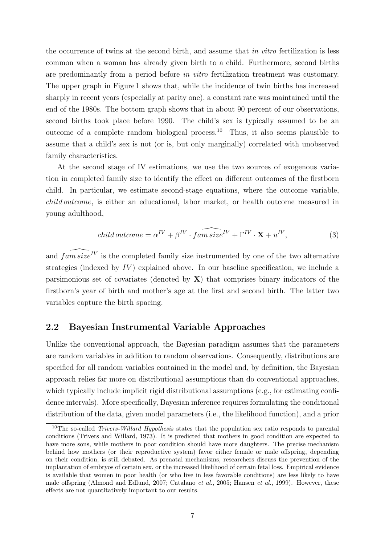the occurrence of twins at the second birth, and assume that in vitro fertilization is less common when a woman has already given birth to a child. Furthermore, second births are predominantly from a period before in vitro fertilization treatment was customary. The upper graph in Figure 1 shows that, while the incidence of twin births has increased sharply in recent years (especially at parity one), a constant rate was maintained until the end of the 1980s. The bottom graph shows that in about 90 percent of our observations, second births took place before 1990. The child's sex is typically assumed to be an outcome of a complete random biological process.<sup>10</sup> Thus, it also seems plausible to assume that a child's sex is not (or is, but only marginally) correlated with unobserved family characteristics.

At the second stage of IV estimations, we use the two sources of exogenous variation in completed family size to identify the effect on different outcomes of the firstborn child. In particular, we estimate second-stage equations, where the outcome variable, child outcome, is either an educational, labor market, or health outcome measured in young adulthood,

child outcome = 
$$
\alpha^{IV} + \beta^{IV} \cdot \widehat{fam \, size^{IV}} + \Gamma^{IV} \cdot \mathbf{X} + u^{IV},
$$
 (3)

and  $f a m s i z e^{IV}$  is the completed family size instrumented by one of the two alternative strategies (indexed by  $IV$ ) explained above. In our baseline specification, we include a parsimonious set of covariates (denoted by  $X$ ) that comprises binary indicators of the firstborn's year of birth and mother's age at the first and second birth. The latter two variables capture the birth spacing.

#### 2.2 Bayesian Instrumental Variable Approaches

Unlike the conventional approach, the Bayesian paradigm assumes that the parameters are random variables in addition to random observations. Consequently, distributions are specified for all random variables contained in the model and, by definition, the Bayesian approach relies far more on distributional assumptions than do conventional approaches, which typically include implicit rigid distributional assumptions (e.g., for estimating confidence intervals). More specifically, Bayesian inference requires formulating the conditional distribution of the data, given model parameters (i.e., the likelihood function), and a prior

<sup>&</sup>lt;sup>10</sup>The so-called *Trivers-Willard Hypothesis* states that the population sex ratio responds to parental conditions (Trivers and Willard, 1973). It is predicted that mothers in good condition are expected to have more sons, while mothers in poor condition should have more daughters. The precise mechanism behind how mothers (or their reproductive system) favor either female or male offspring, depending on their condition, is still debated. As prenatal mechanisms, researchers discuss the prevention of the implantation of embryos of certain sex, or the increased likelihood of certain fetal loss. Empirical evidence is available that women in poor health (or who live in less favorable conditions) are less likely to have male offspring (Almond and Edlund, 2007; Catalano et al., 2005; Hansen et al., 1999). However, these effects are not quantitatively important to our results.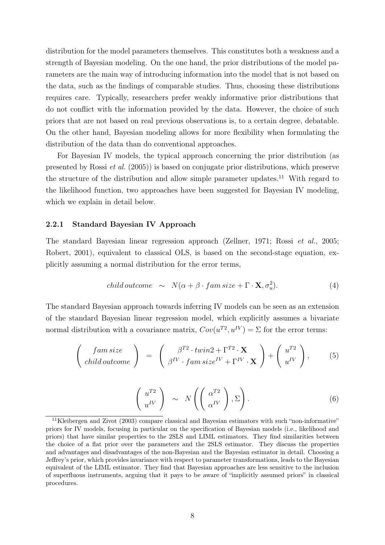distribution for the model parameters themselves. This constitutes both a weakness and a strength of Bayesian modeling. On the one hand, the prior distributions of the model parameters are the main way of introducing information into the model that is not based on the data, such as the findings of comparable studies. Thus, choosing these distributions requires care. Typically, researchers prefer weakly informative prior distributions that do not conflict with the information provided by the data. However, the choice of such priors that are not based on real previous observations is, to a certain degree, debatable. On the other hand, Bayesian modeling allows for more flexibility when formulating the distribution of the data than do conventional approaches.

For Bayesian IV models, the typical approach concerning the prior distribution (as presented by Rossi et al. (2005)) is based on conjugate prior distributions, which preserve the structure of the distribution and allow simple parameter updates.<sup>11</sup> With regard to the likelihood function, two approaches have been suggested for Bayesian IV modeling, which we explain in detail below.

#### 2.2.1 Standard Bayesian IV Approach

The standard Bayesian linear regression approach (Zellner, 1971; Rossi et al., 2005; Robert, 2001), equivalent to classical OLS, is based on the second-stage equation, explicitly assuming a normal distribution for the error terms,

child outcome 
$$
\sim N(\alpha + \beta \cdot fam \, size + \Gamma \cdot \mathbf{X}, \sigma_u^2)
$$
. (4)

The standard Bayesian approach towards inferring IV models can be seen as an extension of the standard Bayesian linear regression model, which explicitly assumes a bivariate normal distribution with a covariance matrix,  $Cov(u^{T2}, u^{IV}) = \Sigma$  for the error terms:

$$
\begin{pmatrix} \n\text{fam size} \\ \n\text{child outcome} \n\end{pmatrix} = \begin{pmatrix} \beta^{T2} \cdot \text{twin2} + \Gamma^{T2} \cdot \mathbf{X} \\ \n\beta^{IV} \cdot \text{fam size}^{IV} + \Gamma^{IV} \cdot \mathbf{X} \n\end{pmatrix} + \begin{pmatrix} u^{T2} \\ u^{IV} \n\end{pmatrix}, \n\tag{5}
$$

$$
\left(\begin{array}{c} u^{T2} \\ u^{IV} \end{array}\right) \sim N\left(\left(\begin{array}{c} \alpha^{T2} \\ \alpha^{IV} \end{array}\right), \Sigma\right). \tag{6}
$$

<sup>&</sup>lt;sup>11</sup>Kleibergen and Zivot (2003) compare classical and Bayesian estimators with such "non-informative" priors for IV models, focusing in particular on the specification of Bayesian models (i.e., likelihood and priors) that have similar properties to the 2SLS and LIML estimators. They find similarities between the choice of a flat prior over the parameters and the 2SLS estimator. They discuss the properties and advantages and disadvantages of the non-Bayesian and the Bayesian estimator in detail. Choosing a Jeffrey's prior, which provides invariance with respect to parameter transformations, leads to the Bayesian equivalent of the LIML estimator. They find that Bayesian approaches are less sensitive to the inclusion of superfluous instruments, arguing that it pays to be aware of "implicitly assumed priors" in classical procedures.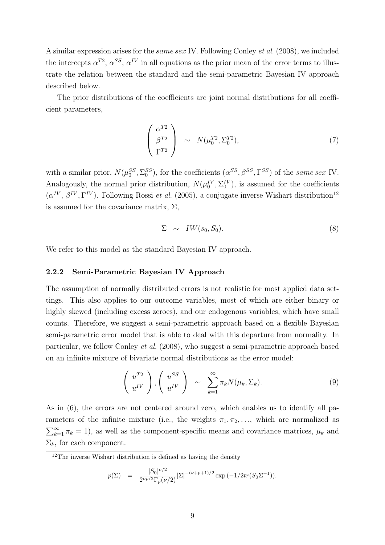A similar expression arises for the same sex IV. Following Conley et al. (2008), we included the intercepts  $\alpha^{T2}$ ,  $\alpha^{SS}$ ,  $\alpha^{IV}$  in all equations as the prior mean of the error terms to illustrate the relation between the standard and the semi-parametric Bayesian IV approach described below.

The prior distributions of the coefficients are joint normal distributions for all coefficient parameters,

$$
\begin{pmatrix} \alpha^{T2} \\ \beta^{T2} \\ \Gamma^{T2} \end{pmatrix} \sim N(\mu_0^{T2}, \Sigma_0^{T2}), \qquad (7)
$$

with a similar prior,  $N(\mu_0^{SS}, \Sigma_0^{SS})$ , for the coefficients  $(\alpha^{SS}, \beta^{SS}, \Gamma^{SS})$  of the same sex IV. Analogously, the normal prior distribution,  $N(\mu_0^{IV}, \Sigma_0^{IV})$ , is assumed for the coefficients  $(\alpha^{IV}, \beta^{IV}, \Gamma^{IV})$ . Following Rossi *et al.* (2005), a conjugate inverse Wishart distribution<sup>12</sup> is assumed for the covariance matrix,  $\Sigma$ ,

$$
\Sigma \sim \mathit{IW}(s_0, S_0). \tag{8}
$$

We refer to this model as the standard Bayesian IV approach.

#### 2.2.2 Semi-Parametric Bayesian IV Approach

The assumption of normally distributed errors is not realistic for most applied data settings. This also applies to our outcome variables, most of which are either binary or highly skewed (including excess zeroes), and our endogenous variables, which have small counts. Therefore, we suggest a semi-parametric approach based on a flexible Bayesian semi-parametric error model that is able to deal with this departure from normality. In particular, we follow Conley et al. (2008), who suggest a semi-parametric approach based on an infinite mixture of bivariate normal distributions as the error model:

$$
\left(\begin{array}{c}u^{T2}\\u^{IV}\end{array}\right),\left(\begin{array}{c}u^{SS}\\u^{IV}\end{array}\right)\sim\sum_{k=1}^{\infty}\pi_kN(\mu_k,\Sigma_k). \tag{9}
$$

As in (6), the errors are not centered around zero, which enables us to identify all parameters of the infinite mixture (i.e., the weights  $\pi_1, \pi_2, \ldots$ , which are normalized as  $\sum_{k=1}^{\infty} \pi_k = 1$ , as well as the component-specific means and covariance matrices,  $\mu_k$  and  $\Sigma_k$ , for each component.

$$
p(\Sigma) = \frac{|S_0|^{\nu/2}}{2^{\nu p/2} \Gamma_p(\nu/2)} |\Sigma|^{-(\nu+p+1)/2} \exp(-1/2tr(S_0 \Sigma^{-1})).
$$

 $12$ The inverse Wishart distribution is defined as having the density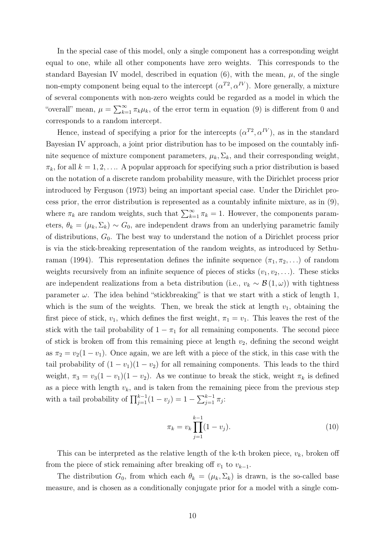In the special case of this model, only a single component has a corresponding weight equal to one, while all other components have zero weights. This corresponds to the standard Bayesian IV model, described in equation  $(6)$ , with the mean,  $\mu$ , of the single non-empty component being equal to the intercept  $(\alpha^{T2}, \alpha^{IV})$ . More generally, a mixture of several components with non-zero weights could be regarded as a model in which the "overall" mean,  $\mu = \sum_{k=1}^{\infty} \pi_k \mu_k$ , of the error term in equation (9) is different from 0 and corresponds to a random intercept.

Hence, instead of specifying a prior for the intercepts  $(\alpha^{T2}, \alpha^{IV})$ , as in the standard Bayesian IV approach, a joint prior distribution has to be imposed on the countably infinite sequence of mixture component parameters,  $\mu_k$ ,  $\Sigma_k$ , and their corresponding weight,  $\pi_k$ , for all  $k = 1, 2, \ldots$  A popular approach for specifying such a prior distribution is based on the notation of a discrete random probability measure, with the Dirichlet process prior introduced by Ferguson (1973) being an important special case. Under the Dirichlet process prior, the error distribution is represented as a countably infinite mixture, as in (9), where  $\pi_k$  are random weights, such that  $\sum_{k=1}^{\infty} \pi_k = 1$ . However, the components parameters,  $\theta_k = (\mu_k, \Sigma_k) \sim G_0$ , are independent draws from an underlying parametric family of distributions,  $G_0$ . The best way to understand the notion of a Dirichlet process prior is via the stick-breaking representation of the random weights, as introduced by Sethuraman (1994). This representation defines the infinite sequence  $(\pi_1, \pi_2, ...)$  of random weights recursively from an infinite sequence of pieces of sticks  $(v_1, v_2, \ldots)$ . These sticks are independent realizations from a beta distribution (i.e.,  $v_k \sim \mathcal{B}(1,\omega)$ ) with tightness parameter  $\omega$ . The idea behind "stickbreaking" is that we start with a stick of length 1, which is the sum of the weights. Then, we break the stick at length  $v_1$ , obtaining the first piece of stick,  $v_1$ , which defines the first weight,  $\pi_1 = v_1$ . This leaves the rest of the stick with the tail probability of  $1 - \pi_1$  for all remaining components. The second piece of stick is broken off from this remaining piece at length  $v_2$ , defining the second weight as  $\pi_2 = v_2(1 - v_1)$ . Once again, we are left with a piece of the stick, in this case with the tail probability of  $(1 - v_1)(1 - v_2)$  for all remaining components. This leads to the third weight,  $\pi_3 = v_3(1 - v_1)(1 - v_2)$ . As we continue to break the stick, weight  $\pi_k$  is defined as a piece with length  $v_k$ , and is taken from the remaining piece from the previous step with a tail probability of  $\prod_{j=1}^{k-1} (1 - v_j) = 1 - \sum_{j=1}^{k-1} \pi_j$ :

$$
\pi_k = v_k \prod_{j=1}^{k-1} (1 - v_j). \tag{10}
$$

This can be interpreted as the relative length of the k-th broken piece,  $v_k$ , broken off from the piece of stick remaining after breaking off  $v_1$  to  $v_{k-1}$ .

The distribution  $G_0$ , from which each  $\theta_k = (\mu_k, \Sigma_k)$  is drawn, is the so-called base measure, and is chosen as a conditionally conjugate prior for a model with a single com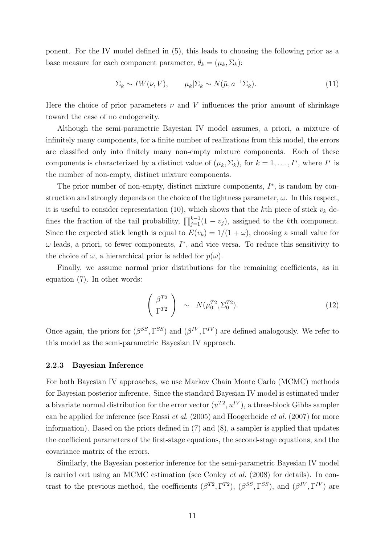ponent. For the IV model defined in (5), this leads to choosing the following prior as a base measure for each component parameter,  $\theta_k = (\mu_k, \Sigma_k)$ :

$$
\Sigma_k \sim IW(\nu, V), \qquad \mu_k | \Sigma_k \sim N(\bar{\mu}, a^{-1} \Sigma_k). \tag{11}
$$

Here the choice of prior parameters  $\nu$  and V influences the prior amount of shrinkage toward the case of no endogeneity.

Although the semi-parametric Bayesian IV model assumes, a priori, a mixture of infinitely many components, for a finite number of realizations from this model, the errors are classified only into finitely many non-empty mixture components. Each of these components is characterized by a distinct value of  $(\mu_k, \Sigma_k)$ , for  $k = 1, ..., I^*$ , where  $I^*$  is the number of non-empty, distinct mixture components.

The prior number of non-empty, distinct mixture components,  $I^*$ , is random by construction and strongly depends on the choice of the tightness parameter,  $\omega$ . In this respect, it is useful to consider representation (10), which shows that the kth piece of stick  $v_k$  defines the fraction of the tail probability,  $\prod_{j=1}^{k-1} (1 - v_j)$ , assigned to the kth component. Since the expected stick length is equal to  $E(v_k) = 1/(1 + \omega)$ , choosing a small value for  $\omega$  leads, a priori, to fewer components,  $I^*$ , and vice versa. To reduce this sensitivity to the choice of  $\omega$ , a hierarchical prior is added for  $p(\omega)$ .

Finally, we assume normal prior distributions for the remaining coefficients, as in equation (7). In other words:

$$
\begin{pmatrix} \beta^{T2} \\ \Gamma^{T2} \end{pmatrix} \sim N(\mu_0^{T2}, \Sigma_0^{T2}). \tag{12}
$$

Once again, the priors for  $(\beta^{SS}, \Gamma^{SS})$  and  $(\beta^{IV}, \Gamma^{IV})$  are defined analogously. We refer to this model as the semi-parametric Bayesian IV approach.

#### 2.2.3 Bayesian Inference

For both Bayesian IV approaches, we use Markov Chain Monte Carlo (MCMC) methods for Bayesian posterior inference. Since the standard Bayesian IV model is estimated under a bivariate normal distribution for the error vector  $(u^{T2}, u^{IV})$ , a three-block Gibbs sampler can be applied for inference (see Rossi et al. (2005) and Hoogerheide et al. (2007) for more information). Based on the priors defined in (7) and (8), a sampler is applied that updates the coefficient parameters of the first-stage equations, the second-stage equations, and the covariance matrix of the errors.

Similarly, the Bayesian posterior inference for the semi-parametric Bayesian IV model is carried out using an MCMC estimation (see Conley et al. (2008) for details). In contrast to the previous method, the coefficients  $(\beta^{T2}, \Gamma^{T2})$ ,  $(\beta^{SS}, \Gamma^{SS})$ , and  $(\beta^{IV}, \Gamma^{IV})$  are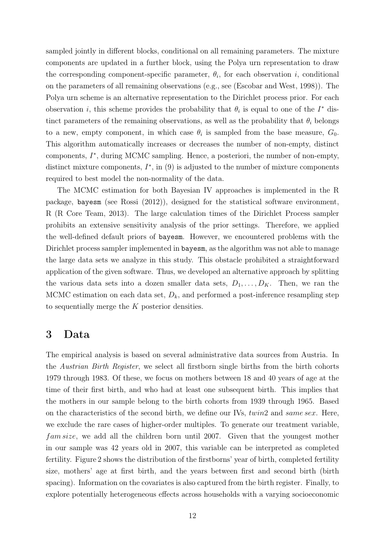sampled jointly in different blocks, conditional on all remaining parameters. The mixture components are updated in a further block, using the Polya urn representation to draw the corresponding component-specific parameter,  $\theta_i$ , for each observation i, conditional on the parameters of all remaining observations (e.g., see (Escobar and West, 1998)). The Polya urn scheme is an alternative representation to the Dirichlet process prior. For each observation *i*, this scheme provides the probability that  $\theta_i$  is equal to one of the  $I^*$  distinct parameters of the remaining observations, as well as the probability that  $\theta_i$  belongs to a new, empty component, in which case  $\theta_i$  is sampled from the base measure,  $G_0$ . This algorithm automatically increases or decreases the number of non-empty, distinct components,  $I^*$ , during MCMC sampling. Hence, a posteriori, the number of non-empty, distinct mixture components,  $I^*$ , in  $(9)$  is adjusted to the number of mixture components required to best model the non-normality of the data.

The MCMC estimation for both Bayesian IV approaches is implemented in the R package, bayesm (see Rossi (2012)), designed for the statistical software environment, R (R Core Team, 2013). The large calculation times of the Dirichlet Process sampler prohibits an extensive sensitivity analysis of the prior settings. Therefore, we applied the well-defined default priors of bayesm. However, we encountered problems with the Dirichlet process sampler implemented in bayesm, as the algorithm was not able to manage the large data sets we analyze in this study. This obstacle prohibited a straightforward application of the given software. Thus, we developed an alternative approach by splitting the various data sets into a dozen smaller data sets,  $D_1, \ldots, D_K$ . Then, we ran the MCMC estimation on each data set,  $D_k$ , and performed a post-inference resampling step to sequentially merge the K posterior densities.

### 3 Data

The empirical analysis is based on several administrative data sources from Austria. In the Austrian Birth Register, we select all firstborn single births from the birth cohorts 1979 through 1983. Of these, we focus on mothers between 18 and 40 years of age at the time of their first birth, and who had at least one subsequent birth. This implies that the mothers in our sample belong to the birth cohorts from 1939 through 1965. Based on the characteristics of the second birth, we define our IVs, twin2 and same sex. Here, we exclude the rare cases of higher-order multiples. To generate our treatment variable, fam size, we add all the children born until 2007. Given that the youngest mother in our sample was 42 years old in 2007, this variable can be interpreted as completed fertility. Figure 2 shows the distribution of the firstborns' year of birth, completed fertility size, mothers' age at first birth, and the years between first and second birth (birth spacing). Information on the covariates is also captured from the birth register. Finally, to explore potentially heterogeneous effects across households with a varying socioeconomic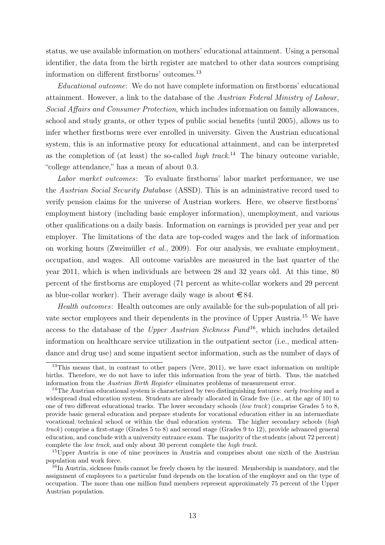status, we use available information on mothers' educational attainment. Using a personal identifier, the data from the birth register are matched to other data sources comprising information on different firstborns' outcomes.<sup>13</sup>

Educational outcome: We do not have complete information on firstborns' educational attainment. However, a link to the database of the Austrian Federal Ministry of Labour, Social Affairs and Consumer Protection, which includes information on family allowances, school and study grants, or other types of public social benefits (until 2005), allows us to infer whether firstborns were ever enrolled in university. Given the Austrian educational system, this is an informative proxy for educational attainment, and can be interpreted as the completion of (at least) the so-called  $high$  track.<sup>14</sup> The binary outcome variable, "college attendance," has a mean of about 0.3.

Labor market outcomes: To evaluate firstborns' labor market performance, we use the Austrian Social Security Database (ASSD). This is an administrative record used to verify pension claims for the universe of Austrian workers. Here, we observe firstborns' employment history (including basic employer information), unemployment, and various other qualifications on a daily basis. Information on earnings is provided per year and per employer. The limitations of the data are top-coded wages and the lack of information on working hours (Zweimüller et al., 2009). For our analysis, we evaluate employment, occupation, and wages. All outcome variables are measured in the last quarter of the year 2011, which is when individuals are between 28 and 32 years old. At this time, 80 percent of the firstborns are employed (71 percent as white-collar workers and 29 percent as blue-collar worker). Their average daily wage is about  $\in$  84.

Health outcomes: Health outcomes are only available for the sub-population of all private sector employees and their dependents in the province of Upper Austria.<sup>15</sup> We have access to the database of the Upper Austrian Sickness Fund<sup>16</sup>, which includes detailed information on healthcare service utilization in the outpatient sector (i.e., medical attendance and drug use) and some inpatient sector information, such as the number of days of

<sup>&</sup>lt;sup>13</sup>This means that, in contrast to other papers (Vere, 2011), we have exact information on multiple births. Therefore, we do not have to infer this information from the year of birth. Thus, the matched information from the Austrian Birth Register eliminates problems of measurement error.

<sup>&</sup>lt;sup>14</sup>The Austrian educational system is characterized by two distinguishing features: *early tracking* and a widespread dual education system. Students are already allocated in Grade five (i.e., at the age of 10) to one of two different educational tracks. The lower secondary schools (low track) comprise Grades 5 to 8, provide basic general education and prepare students for vocational education either in an intermediate vocational/technical school or within the dual education system. The higher secondary schools (high track) comprise a first-stage (Grades 5 to 8) and second stage (Grades 9 to 12), provide advanced general education, and conclude with a university entrance exam. The majority of the students (about 72 percent) complete the low track, and only about 30 percent complete the high track.

<sup>&</sup>lt;sup>15</sup>Upper Austria is one of nine provinces in Austria and comprises about one sixth of the Austrian population and work force.

<sup>&</sup>lt;sup>16</sup>In Austria, sickness funds cannot be freely chosen by the insured. Membership is mandatory, and the assignment of employees to a particular fund depends on the location of the employer and on the type of occupation. The more than one million fund members represent approximately 75 percent of the Upper Austrian population.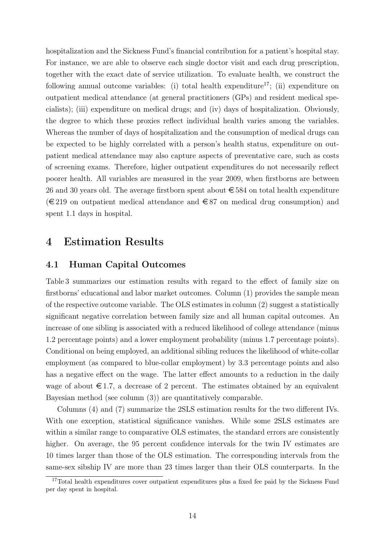hospitalization and the Sickness Fund's financial contribution for a patient's hospital stay. For instance, we are able to observe each single doctor visit and each drug prescription, together with the exact date of service utilization. To evaluate health, we construct the following annual outcome variables: (i) total health expenditure<sup>17</sup>; (ii) expenditure on outpatient medical attendance (at general practitioners (GPs) and resident medical specialists); (iii) expenditure on medical drugs; and (iv) days of hospitalization. Obviously, the degree to which these proxies reflect individual health varies among the variables. Whereas the number of days of hospitalization and the consumption of medical drugs can be expected to be highly correlated with a person's health status, expenditure on outpatient medical attendance may also capture aspects of preventative care, such as costs of screening exams. Therefore, higher outpatient expenditures do not necessarily reflect poorer health. All variables are measured in the year 2009, when firstborns are between 26 and 30 years old. The average firstborn spent about  $\epsilon$  584 on total health expenditure  $(\text{\textless}=219)$  on outpatient medical attendance and  $\text{\textless}=87$  on medical drug consumption) and spent 1.1 days in hospital.

### 4 Estimation Results

#### 4.1 Human Capital Outcomes

Table 3 summarizes our estimation results with regard to the effect of family size on firstborns' educational and labor market outcomes. Column (1) provides the sample mean of the respective outcome variable. The OLS estimates in column (2) suggest a statistically significant negative correlation between family size and all human capital outcomes. An increase of one sibling is associated with a reduced likelihood of college attendance (minus 1.2 percentage points) and a lower employment probability (minus 1.7 percentage points). Conditional on being employed, an additional sibling reduces the likelihood of white-collar employment (as compared to blue-collar employment) by 3.3 percentage points and also has a negative effect on the wage. The latter effect amounts to a reduction in the daily wage of about  $\epsilon$ 1.7, a decrease of 2 percent. The estimates obtained by an equivalent Bayesian method (see column (3)) are quantitatively comparable.

Columns (4) and (7) summarize the 2SLS estimation results for the two different IVs. With one exception, statistical significance vanishes. While some 2SLS estimates are within a similar range to comparative OLS estimates, the standard errors are consistently higher. On average, the 95 percent confidence intervals for the twin IV estimates are 10 times larger than those of the OLS estimation. The corresponding intervals from the same-sex sibship IV are more than 23 times larger than their OLS counterparts. In the

<sup>&</sup>lt;sup>17</sup>Total health expenditures cover outpatient expenditures plus a fixed fee paid by the Sickness Fund per day spent in hospital.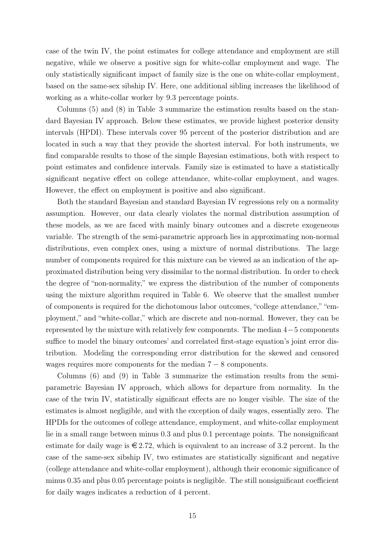case of the twin IV, the point estimates for college attendance and employment are still negative, while we observe a positive sign for white-collar employment and wage. The only statistically significant impact of family size is the one on white-collar employment, based on the same-sex sibship IV. Here, one additional sibling increases the likelihood of working as a white-collar worker by 9.3 percentage points.

Columns (5) and (8) in Table 3 summarize the estimation results based on the standard Bayesian IV approach. Below these estimates, we provide highest posterior density intervals (HPDI). These intervals cover 95 percent of the posterior distribution and are located in such a way that they provide the shortest interval. For both instruments, we find comparable results to those of the simple Bayesian estimations, both with respect to point estimates and confidence intervals. Family size is estimated to have a statistically significant negative effect on college attendance, white-collar employment, and wages. However, the effect on employment is positive and also significant.

Both the standard Bayesian and standard Bayesian IV regressions rely on a normality assumption. However, our data clearly violates the normal distribution assumption of these models, as we are faced with mainly binary outcomes and a discrete exogeneous variable. The strength of the semi-parametric approach lies in approximating non-normal distributions, even complex ones, using a mixture of normal distributions. The large number of components required for this mixture can be viewed as an indication of the approximated distribution being very dissimilar to the normal distribution. In order to check the degree of "non-normality," we express the distribution of the number of components using the mixture algorithm required in Table 6. We observe that the smallest number of components is required for the dichotomous labor outcomes, "college attendance," "employment," and "white-collar," which are discrete and non-normal. However, they can be represented by the mixture with relatively few components. The median 4−5 components suffice to model the binary outcomes' and correlated first-stage equation's joint error distribution. Modeling the corresponding error distribution for the skewed and censored wages requires more components for the median  $7 - 8$  components.

Columns (6) and (9) in Table 3 summarize the estimation results from the semiparametric Bayesian IV approach, which allows for departure from normality. In the case of the twin IV, statistically significant effects are no longer visible. The size of the estimates is almost negligible, and with the exception of daily wages, essentially zero. The HPDIs for the outcomes of college attendance, employment, and white-collar employment lie in a small range between minus 0.3 and plus 0.1 percentage points. The nonsignificant estimate for daily wage is  $\epsilon \in 2.72$ , which is equivalent to an increase of 3.2 percent. In the case of the same-sex sibship IV, two estimates are statistically significant and negative (college attendance and white-collar employment), although their economic significance of minus 0.35 and plus 0.05 percentage points is negligible. The still nonsignificant coefficient for daily wages indicates a reduction of 4 percent.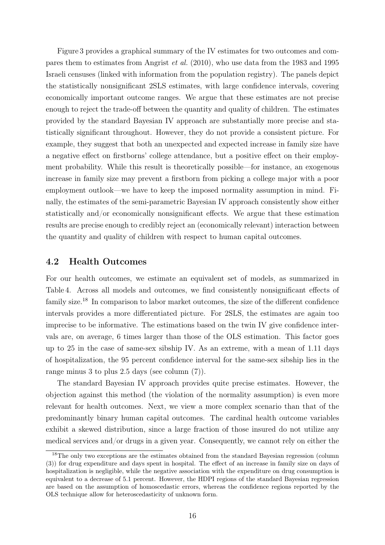Figure 3 provides a graphical summary of the IV estimates for two outcomes and compares them to estimates from Angrist et al. (2010), who use data from the 1983 and 1995 Israeli censuses (linked with information from the population registry). The panels depict the statistically nonsignificant 2SLS estimates, with large confidence intervals, covering economically important outcome ranges. We argue that these estimates are not precise enough to reject the trade-off between the quantity and quality of children. The estimates provided by the standard Bayesian IV approach are substantially more precise and statistically significant throughout. However, they do not provide a consistent picture. For example, they suggest that both an unexpected and expected increase in family size have a negative effect on firstborns' college attendance, but a positive effect on their employment probability. While this result is theoretically possible—for instance, an exogenous increase in family size may prevent a firstborn from picking a college major with a poor employment outlook—we have to keep the imposed normality assumption in mind. Finally, the estimates of the semi-parametric Bayesian IV approach consistently show either statistically and/or economically nonsignificant effects. We argue that these estimation results are precise enough to credibly reject an (economically relevant) interaction between the quantity and quality of children with respect to human capital outcomes.

#### 4.2 Health Outcomes

For our health outcomes, we estimate an equivalent set of models, as summarized in Table 4. Across all models and outcomes, we find consistently nonsignificant effects of family size.<sup>18</sup> In comparison to labor market outcomes, the size of the different confidence intervals provides a more differentiated picture. For 2SLS, the estimates are again too imprecise to be informative. The estimations based on the twin IV give confidence intervals are, on average, 6 times larger than those of the OLS estimation. This factor goes up to 25 in the case of same-sex sibship IV. As an extreme, with a mean of 1.11 days of hospitalization, the 95 percent confidence interval for the same-sex sibship lies in the range minus 3 to plus 2.5 days (see column (7)).

The standard Bayesian IV approach provides quite precise estimates. However, the objection against this method (the violation of the normality assumption) is even more relevant for health outcomes. Next, we view a more complex scenario than that of the predominantly binary human capital outcomes. The cardinal health outcome variables exhibit a skewed distribution, since a large fraction of those insured do not utilize any medical services and/or drugs in a given year. Consequently, we cannot rely on either the

<sup>&</sup>lt;sup>18</sup>The only two exceptions are the estimates obtained from the standard Bayesian regression (column (3)) for drug expenditure and days spent in hospital. The effect of an increase in family size on days of hospitalization is negligible, while the negative association with the expenditure on drug consumption is equivalent to a decrease of 5.1 percent. However, the HDPI regions of the standard Bayesian regression are based on the assumption of homoscedastic errors, whereas the confidence regions reported by the OLS technique allow for heteroscedasticity of unknown form.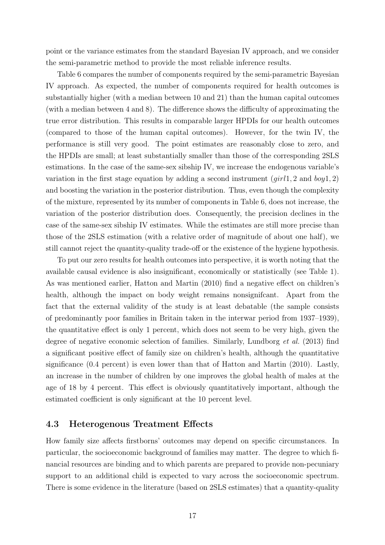point or the variance estimates from the standard Bayesian IV approach, and we consider the semi-parametric method to provide the most reliable inference results.

Table 6 compares the number of components required by the semi-parametric Bayesian IV approach. As expected, the number of components required for health outcomes is substantially higher (with a median between 10 and 21) than the human capital outcomes (with a median between 4 and 8). The difference shows the difficulty of approximating the true error distribution. This results in comparable larger HPDIs for our health outcomes (compared to those of the human capital outcomes). However, for the twin IV, the performance is still very good. The point estimates are reasonably close to zero, and the HPDIs are small; at least substantially smaller than those of the corresponding 2SLS estimations. In the case of the same-sex sibship IV, we increase the endogenous variable's variation in the first stage equation by adding a second instrument  $(jirl1, 2 \text{ and } boy1, 2)$ and boosting the variation in the posterior distribution. Thus, even though the complexity of the mixture, represented by its number of components in Table 6, does not increase, the variation of the posterior distribution does. Consequently, the precision declines in the case of the same-sex sibship IV estimates. While the estimates are still more precise than those of the 2SLS estimation (with a relative order of magnitude of about one half), we still cannot reject the quantity-quality trade-off or the existence of the hygiene hypothesis.

To put our zero results for health outcomes into perspective, it is worth noting that the available causal evidence is also insignificant, economically or statistically (see Table 1). As was mentioned earlier, Hatton and Martin (2010) find a negative effect on children's health, although the impact on body weight remains nonsignificant. Apart from the fact that the external validity of the study is at least debatable (the sample consists of predominantly poor families in Britain taken in the interwar period from 1937–1939), the quantitative effect is only 1 percent, which does not seem to be very high, given the degree of negative economic selection of families. Similarly, Lundborg et al. (2013) find a significant positive effect of family size on children's health, although the quantitative significance (0.4 percent) is even lower than that of Hatton and Martin (2010). Lastly, an increase in the number of children by one improves the global health of males at the age of 18 by 4 percent. This effect is obviously quantitatively important, although the estimated coefficient is only significant at the 10 percent level.

#### 4.3 Heterogenous Treatment Effects

How family size affects firstborns' outcomes may depend on specific circumstances. In particular, the socioeconomic background of families may matter. The degree to which financial resources are binding and to which parents are prepared to provide non-pecuniary support to an additional child is expected to vary across the socioeconomic spectrum. There is some evidence in the literature (based on 2SLS estimates) that a quantity-quality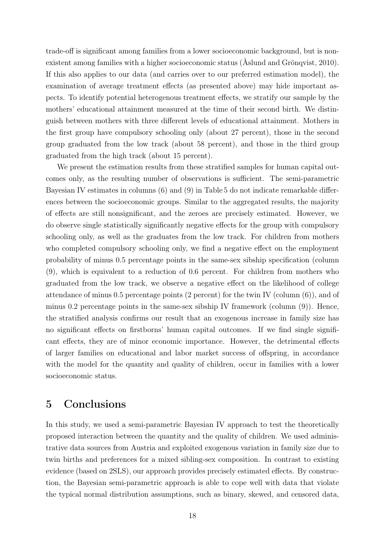trade-off is significant among families from a lower socioeconomic background, but is nonexistent among families with a higher socioeconomic status (Åslund and Grönqvist, 2010). If this also applies to our data (and carries over to our preferred estimation model), the examination of average treatment effects (as presented above) may hide important aspects. To identify potential heterogenous treatment effects, we stratify our sample by the mothers' educational attainment measured at the time of their second birth. We distinguish between mothers with three different levels of educational attainment. Mothers in the first group have compulsory schooling only (about 27 percent), those in the second group graduated from the low track (about 58 percent), and those in the third group graduated from the high track (about 15 percent).

We present the estimation results from these stratified samples for human capital outcomes only, as the resulting number of observations is sufficient. The semi-parametric Bayesian IV estimates in columns (6) and (9) in Table 5 do not indicate remarkable differences between the socioeconomic groups. Similar to the aggregated results, the majority of effects are still nonsignificant, and the zeroes are precisely estimated. However, we do observe single statistically significantly negative effects for the group with compulsory schooling only, as well as the graduates from the low track. For children from mothers who completed compulsory schooling only, we find a negative effect on the employment probability of minus 0.5 percentage points in the same-sex sibship specification (column (9), which is equivalent to a reduction of 0.6 percent. For children from mothers who graduated from the low track, we observe a negative effect on the likelihood of college attendance of minus 0.5 percentage points (2 percent) for the twin IV (column (6)), and of minus 0.2 percentage points in the same-sex sibship IV framework (column  $(9)$ ). Hence, the stratified analysis confirms our result that an exogenous increase in family size has no significant effects on firstborns' human capital outcomes. If we find single significant effects, they are of minor economic importance. However, the detrimental effects of larger families on educational and labor market success of offspring, in accordance with the model for the quantity and quality of children, occur in families with a lower socioeconomic status.

### 5 Conclusions

In this study, we used a semi-parametric Bayesian IV approach to test the theoretically proposed interaction between the quantity and the quality of children. We used administrative data sources from Austria and exploited exogenous variation in family size due to twin births and preferences for a mixed sibling-sex composition. In contrast to existing evidence (based on 2SLS), our approach provides precisely estimated effects. By construction, the Bayesian semi-parametric approach is able to cope well with data that violate the typical normal distribution assumptions, such as binary, skewed, and censored data,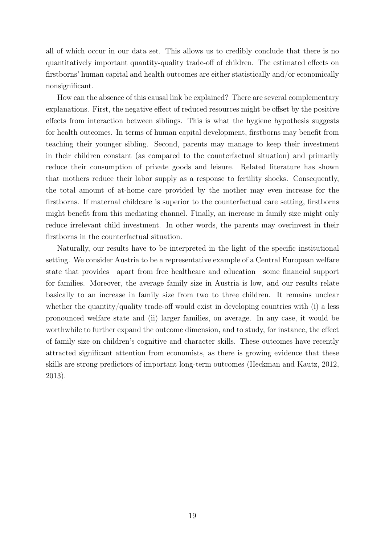all of which occur in our data set. This allows us to credibly conclude that there is no quantitatively important quantity-quality trade-off of children. The estimated effects on firstborns' human capital and health outcomes are either statistically and/or economically nonsignificant.

How can the absence of this causal link be explained? There are several complementary explanations. First, the negative effect of reduced resources might be offset by the positive effects from interaction between siblings. This is what the hygiene hypothesis suggests for health outcomes. In terms of human capital development, firstborns may benefit from teaching their younger sibling. Second, parents may manage to keep their investment in their children constant (as compared to the counterfactual situation) and primarily reduce their consumption of private goods and leisure. Related literature has shown that mothers reduce their labor supply as a response to fertility shocks. Consequently, the total amount of at-home care provided by the mother may even increase for the firstborns. If maternal childcare is superior to the counterfactual care setting, firstborns might benefit from this mediating channel. Finally, an increase in family size might only reduce irrelevant child investment. In other words, the parents may overinvest in their firstborns in the counterfactual situation.

Naturally, our results have to be interpreted in the light of the specific institutional setting. We consider Austria to be a representative example of a Central European welfare state that provides—apart from free healthcare and education—some financial support for families. Moreover, the average family size in Austria is low, and our results relate basically to an increase in family size from two to three children. It remains unclear whether the quantity/quality trade-off would exist in developing countries with  $(i)$  a less pronounced welfare state and (ii) larger families, on average. In any case, it would be worthwhile to further expand the outcome dimension, and to study, for instance, the effect of family size on children's cognitive and character skills. These outcomes have recently attracted significant attention from economists, as there is growing evidence that these skills are strong predictors of important long-term outcomes (Heckman and Kautz, 2012, 2013).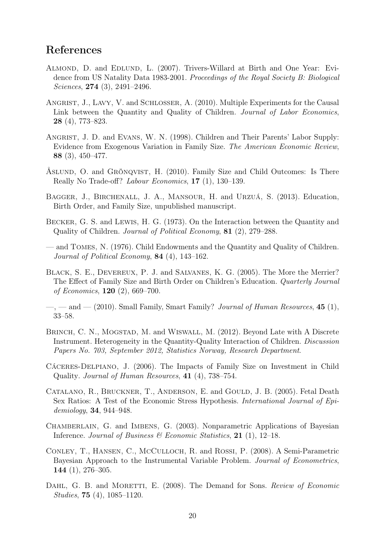### References

- Almond, D. and Edlund, L. (2007). Trivers-Willard at Birth and One Year: Evidence from US Natality Data 1983-2001. Proceedings of the Royal Society B: Biological Sciences, 274 (3), 2491–2496.
- ANGRIST, J., LAVY, V. and SCHLOSSER, A. (2010). Multiple Experiments for the Causal Link between the Quantity and Quality of Children. Journal of Labor Economics, 28 (4), 773–823.
- ANGRIST, J. D. and EVANS, W. N. (1998). Children and Their Parents' Labor Supply: Evidence from Exogenous Variation in Family Size. The American Economic Review, 88 (3), 450–477.
- Åslund, O. and Grönqvist, H. (2010). Family Size and Child Outcomes: Is There Really No Trade-off? Labour Economics, 17 (1), 130–139.
- BAGGER, J., BIRCHENALL, J. A., MANSOUR, H. and URZUÁ, S. (2013). Education, Birth Order, and Family Size, unpublished manuscript.
- Becker, G. S. and Lewis, H. G. (1973). On the Interaction between the Quantity and Quality of Children. Journal of Political Economy, 81 (2), 279–288.
- and Tomes, N. (1976). Child Endowments and the Quantity and Quality of Children. Journal of Political Economy, 84 (4), 143–162.
- BLACK, S. E., DEVEREUX, P. J. and SALVANES, K. G. (2005). The More the Merrier? The Effect of Family Size and Birth Order on Children's Education. Quarterly Journal of Economics, 120 (2), 669–700.
- $\sim$ ,  $\sim$  and  $\sim$  (2010). Small Family, Smart Family? *Journal of Human Resources*, 45 (1), 33–58.
- BRINCH, C. N., MOGSTAD, M. and WISWALL, M. (2012). Beyond Late with A Discrete Instrument. Heterogeneity in the Quantity-Quality Interaction of Children. Discussion Papers No. 703, September 2012, Statistics Norway, Research Department.
- Cáceres-Delpiano, J. (2006). The Impacts of Family Size on Investment in Child Quality. Journal of Human Resources, 41 (4), 738–754.
- CATALANO, R., BRUCKNER, T., ANDERSON, E. and GOULD, J. B. (2005). Fetal Death Sex Ratios: A Test of the Economic Stress Hypothesis. International Journal of Epidemiology, 34, 944–948.
- Chamberlain, G. and Imbens, G. (2003). Nonparametric Applications of Bayesian Inference. Journal of Business & Economic Statistics, 21 (1), 12-18.
- Conley, T., Hansen, C., McCulloch, R. and Rossi, P. (2008). A Semi-Parametric Bayesian Approach to the Instrumental Variable Problem. Journal of Econometrics, 144 (1), 276–305.
- DAHL, G. B. and MORETTI, E. (2008). The Demand for Sons. Review of Economic Studies, 75 (4), 1085–1120.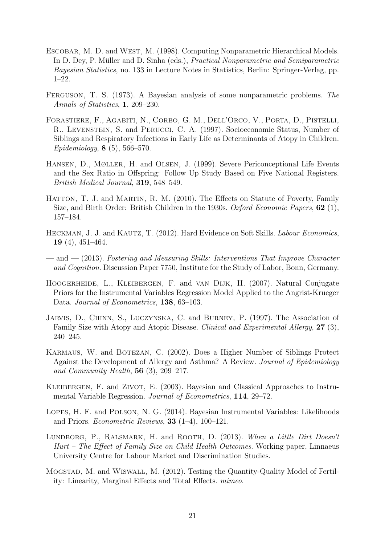- ESCOBAR, M. D. and WEST, M. (1998). Computing Nonparametric Hierarchical Models. In D. Dey, P. Müller and D. Sinha (eds.), Practical Nonparametric and Semiparametric Bayesian Statistics, no. 133 in Lecture Notes in Statistics, Berlin: Springer-Verlag, pp. 1–22.
- Ferguson, T. S. (1973). A Bayesian analysis of some nonparametric problems. The Annals of Statistics, 1, 209–230.
- Forastiere, F., Agabiti, N., Corbo, G. M., Dell'Orco, V., Porta, D., Pistelli, R., Levenstein, S. and Perucci, C. A. (1997). Socioeconomic Status, Number of Siblings and Respiratory Infections in Early Life as Determinants of Atopy in Children. Epidemiology, 8 (5), 566–570.
- Hansen, D., Møller, H. and Olsen, J. (1999). Severe Periconceptional Life Events and the Sex Ratio in Offspring: Follow Up Study Based on Five National Registers. British Medical Journal, 319, 548–549.
- HATTON, T. J. and MARTIN, R. M. (2010). The Effects on Statute of Poverty, Family Size, and Birth Order: British Children in the 1930s. Oxford Economic Papers, 62 (1), 157–184.
- HECKMAN, J. J. and KAUTZ, T. (2012). Hard Evidence on Soft Skills. *Labour Economics*, 19 (4), 451–464.
- and (2013). Fostering and Measuring Skills: Interventions That Improve Character and Cognition. Discussion Paper 7750, Institute for the Study of Labor, Bonn, Germany.
- HOOGERHEIDE, L., KLEIBERGEN, F. and VAN DIJK, H. (2007). Natural Conjugate Priors for the Instrumental Variables Regression Model Applied to the Angrist-Krueger Data. Journal of Econometrics, 138, 63-103.
- Jarvis, D., Chinn, S., Luczynska, C. and Burney, P. (1997). The Association of Family Size with Atopy and Atopic Disease. Clinical and Experimental Allergy, 27 (3), 240–245.
- KARMAUS, W. and BOTEZAN, C. (2002). Does a Higher Number of Siblings Protect Against the Development of Allergy and Asthma? A Review. Journal of Epidemiology and Community Health,  $56$  (3), 209-217.
- KLEIBERGEN, F. and ZIVOT, E. (2003). Bayesian and Classical Approaches to Instrumental Variable Regression. Journal of Econometrics, 114, 29–72.
- Lopes, H. F. and Polson, N. G. (2014). Bayesian Instrumental Variables: Likelihoods and Priors. *Econometric Reviews*, **33** (1–4), 100–121.
- LUNDBORG, P., RALSMARK, H. and ROOTH, D. (2013). When a Little Dirt Doesn't Hurt – The Effect of Family Size on Child Health Outcomes. Working paper, Linnaeus University Centre for Labour Market and Discrimination Studies.
- Mogstad, M. and Wiswall, M. (2012). Testing the Quantity-Quality Model of Fertility: Linearity, Marginal Effects and Total Effects. mimeo.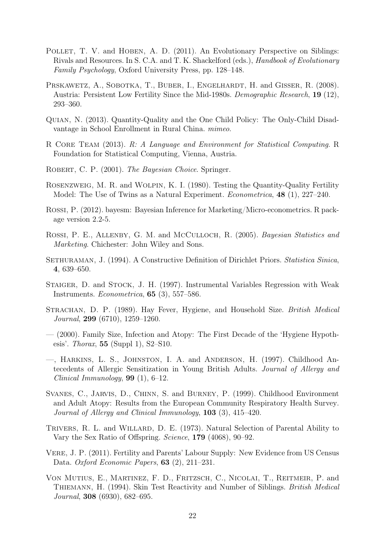- POLLET, T. V. and HOBEN, A. D. (2011). An Evolutionary Perspective on Siblings: Rivals and Resources. In S. C.A. and T. K. Shackelford (eds.), Handbook of Evolutionary Family Psychology, Oxford University Press, pp. 128–148.
- PRSKAWETZ, A., SOBOTKA, T., BUBER, I., ENGELHARDT, H. and GISSER, R. (2008). Austria: Persistent Low Fertility Since the Mid-1980s. Demographic Research, 19 (12), 293–360.
- Quian, N. (2013). Quantity-Quality and the One Child Policy: The Only-Child Disadvantage in School Enrollment in Rural China. mimeo.
- R Core Team (2013). R: A Language and Environment for Statistical Computing. R Foundation for Statistical Computing, Vienna, Austria.
- ROBERT, C. P. (2001). The Bayesian Choice. Springer.
- Rosenzweig, M. R. and Wolpin, K. I. (1980). Testing the Quantity-Quality Fertility Model: The Use of Twins as a Natural Experiment. *Econometrica*, **48** (1), 227–240.
- Rossi, P. (2012). bayesm: Bayesian Inference for Marketing/Micro-econometrics. R package version 2.2-5.
- ROSSI, P. E., ALLENBY, G. M. and MCCULLOCH, R. (2005). Bayesian Statistics and Marketing. Chichester: John Wiley and Sons.
- SETHURAMAN, J. (1994). A Constructive Definition of Dirichlet Priors. Statistica Sinica, 4, 639–650.
- Staiger, D. and Stock, J. H. (1997). Instrumental Variables Regression with Weak Instruments. Econometrica, 65 (3), 557–586.
- STRACHAN, D. P. (1989). Hay Fever, Hygiene, and Household Size. British Medical Journal, 299 (6710), 1259–1260.
- (2000). Family Size, Infection and Atopy: The First Decade of the 'Hygiene Hypothesis'. Thorax,  $55$  (Suppl 1), S2–S10.
- —, Harkins, L. S., Johnston, I. A. and Anderson, H. (1997). Childhood Antecedents of Allergic Sensitization in Young British Adults. Journal of Allergy and Clinical Immunology,  $99$  (1), 6–12.
- Svanes, C., Jarvis, D., Chinn, S. and Burney, P. (1999). Childhood Environment and Adult Atopy: Results from the European Community Respiratory Health Survey. Journal of Allergy and Clinical Immunology, 103 (3), 415–420.
- TRIVERS, R. L. and WILLARD, D. E. (1973). Natural Selection of Parental Ability to Vary the Sex Ratio of Offspring. Science, 179 (4068), 90–92.
- Vere, J. P. (2011). Fertility and Parents' Labour Supply: New Evidence from US Census Data. Oxford Economic Papers, 63 (2), 211–231.
- Von Mutius, E., Martinez, F. D., Fritzsch, C., Nicolai, T., Reitmeir, P. and Thiemann, H. (1994). Skin Test Reactivity and Number of Siblings. British Medical Journal, 308 (6930), 682–695.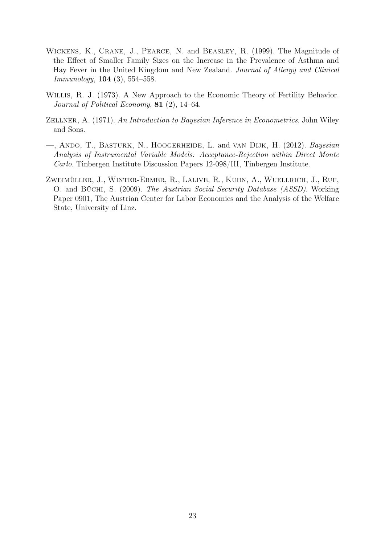- Wickens, K., Crane, J., Pearce, N. and Beasley, R. (1999). The Magnitude of the Effect of Smaller Family Sizes on the Increase in the Prevalence of Asthma and Hay Fever in the United Kingdom and New Zealand. Journal of Allergy and Clinical Immunology, 104 (3), 554–558.
- Willis, R. J. (1973). A New Approach to the Economic Theory of Fertility Behavior. Journal of Political Economy, 81 (2), 14–64.
- ZELLNER, A. (1971). An Introduction to Bayesian Inference in Econometrics. John Wiley and Sons.
- —, Ando, T., Basturk, N., Hoogerheide, L. and van Dijk, H. (2012). Bayesian Analysis of Instrumental Variable Models: Acceptance-Rejection within Direct Monte Carlo. Tinbergen Institute Discussion Papers 12-098/III, Tinbergen Institute.
- Zweimüller, J., Winter-Ebmer, R., Lalive, R., Kuhn, A., Wuellrich, J., Ruf, O. and Büchi, S. (2009). The Austrian Social Security Database (ASSD). Working Paper 0901, The Austrian Center for Labor Economics and the Analysis of the Welfare State, University of Linz.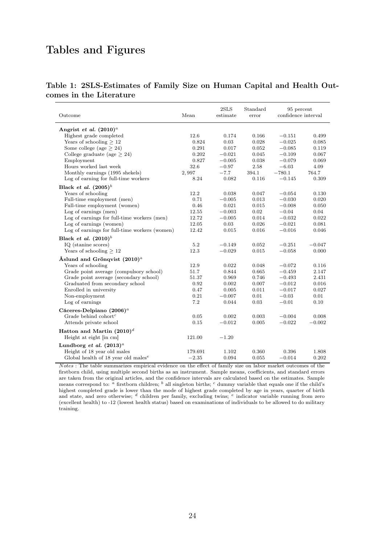# Tables and Figures

| Table 1: 2SLS-Estimates of Family Size on Human Capital and Health Out- |  |  |  |  |
|-------------------------------------------------------------------------|--|--|--|--|
| comes in the Literature                                                 |  |  |  |  |

| Outcome                                                      | Mean    | 2SLS<br>estimate | Standard<br>error | 95 percent<br>confidence interval |          |
|--------------------------------------------------------------|---------|------------------|-------------------|-----------------------------------|----------|
| Angrist et al. $(2010)^{a}$                                  |         |                  |                   |                                   |          |
| Highest grade completed                                      | 12.6    | 0.174            | 0.166             | $-0.151$                          | 0.499    |
| Years of schooling $>12$                                     | 0.824   | 0.03             | 0.028             | $-0.025$                          | 0.085    |
| Some college (age $> 24$ )                                   | 0.291   | 0.017            | 0.052             | $-0.085$                          | 0.119    |
| College graduate (age $> 24$ )                               | 0.202   | $-0.021$         | 0.045             | $-0.109$                          | 0.067    |
| Employment                                                   | 0.827   | $-0.005$         | 0.038             | $-0.079$                          | 0.069    |
| Hours worked last week                                       | 32.6    | $-0.97$          | 2.58              | $-6.03$                           | 4.09     |
| Monthly earnings (1995 shekels)                              | 2,997   | $-7.7$           | 394.1             | $-780.1$                          | 764.7    |
| Log of earning for full-time workers                         | 8.24    | 0.082            | 0.116             | $-0.145$                          | 0.309    |
| Black <i>et al.</i> $(2005)^b$                               |         |                  |                   |                                   |          |
| Years of schooling                                           | 12.2    | 0.038            | 0.047             | $-0.054$                          | 0.130    |
| Full-time employment (men)                                   | 0.71    | $-0.005$         | 0.013             | $-0.030$                          | 0.020    |
| Full-time employment (women)                                 | 0.46    | 0.021            | 0.015             | $-0.008$                          | 0.050    |
| Log of earnings (men)                                        | 12.55   | $-0.003$         | 0.02              | $-0.04$                           | 0.04     |
| Log of earnings for full-time workers (men)                  | 12.72   | $-0.005$         | 0.014             | $-0.032$                          | 0.022    |
| Log of earnings (women)                                      | 12.05   | 0.03             | 0.026             | $-0.021$                          | 0.081    |
| Log of earnings for full-time workers (women)                | 12.42   | 0.015            | 0.016             | $-0.016$                          | 0.046    |
| Black <i>et al.</i> $(2010)^b$                               |         |                  |                   |                                   |          |
| IQ (stanine scores)                                          | 5.2     | $-0.149$         | 0.052             | $-0.251$                          | $-0.047$ |
| Years of schooling $>12$                                     | 12.3    | $-0.029$         | 0.015             | $-0.058$                          | 0.000    |
|                                                              |         |                  |                   |                                   |          |
| Aslund and Grönqvist $(2010)^{a}$                            |         |                  |                   |                                   |          |
| Years of schooling                                           | 12.9    | 0.022            | 0.048             | $-0.072$                          | 0.116    |
| Grade point average (compulsory school)                      | 51.7    | 0.844            | 0.665             | $-0.459$                          | 2.147    |
| Grade point average (secondary school)                       | 51.37   | 0.969            | 0.746             | $-0.493$                          | 2.431    |
| Graduated from secondary school                              | 0.92    | 0.002            | 0.007             | $-0.012$                          | 0.016    |
| Enrolled in university                                       | 0.47    | 0.005            | 0.011             | $-0.017$                          | 0.027    |
| Non-employment                                               | 0.21    | $-0.007$         | 0.01              | $-0.03$                           | 0.01     |
| Log of earnings                                              | 7.2     | 0.044            | 0.03              | $-0.01$                           | 0.10     |
| Cáceres-Delpiano $(2006)^a$                                  |         |                  |                   |                                   |          |
| Grade behind $\text{cohort}^c$                               | 0.05    | 0.002            | 0.003             | $-0.004$                          | 0.008    |
| Attends private school                                       | 0.15    | $-0.012$         | 0.005             | $-0.022$                          | $-0.002$ |
| Hatton and Martin $(2010)^d$                                 |         |                  |                   |                                   |          |
| Height at eight [in cm]                                      | 121.00  | $-1.20$          |                   |                                   |          |
| Lundborg et al. $(2013)^{a}$                                 |         |                  |                   |                                   |          |
| Height of 18 year old males                                  | 179.691 | 1.102            | 0.360             | 0.396                             | 1.808    |
| Global health of 18 year old males <sup><math>e</math></sup> | $-2.35$ | 0.094            | 0.055             | $-0.014$                          | 0.202    |

 $Notes:$  The table summarizes empirical evidence on the effect of family size on labor market outcomes of the firstborn child, using multiple second births as an instrument. Sample means, coefficients, and standard errors are taken from the original articles, and the confidence intervals are calculated based on the estimates. Sample means correspond to: <sup>a</sup> firstborn children; <sup>b</sup> all singleton births; <sup>c</sup> dummy variable that equals one if the child's highest completed grade is lower than the mode of highest grade completed by age in years, quarter of birth and state, and zero otherwise;  $d$  children per family, excluding twins;  $e$  indicator variable running from zero (excellent health) to -12 (lowest health status) based on examinations of individuals to be allowed to do military training.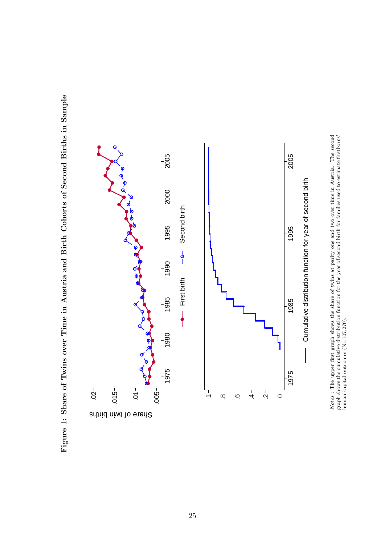



*Notes*: The upper first graph shows the share of twins at parity one and two over time in Austria. The second graph shows the cumulative distribution function for the year of second birth for families used to estimate fi N otes : The upper first graph shows the share of twins at parity one and two over time in Austria. The second graph shows the cumulative distribution function for the year of second birth for families used to estimate firstborns' human capital outcomes (N=107,270).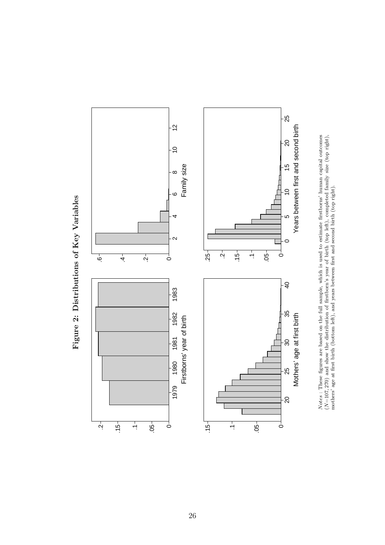



26

Figure 2: Distributions of Key Variables Figure 2: Distributions of Key Variables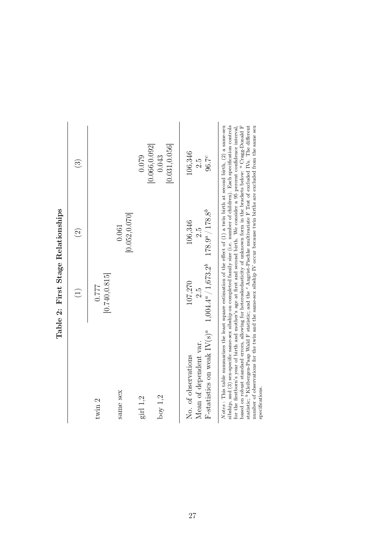|                                                                                                                                                                                                                                                                 | Table 2: First Stage Relationships                   |                                       |                            |
|-----------------------------------------------------------------------------------------------------------------------------------------------------------------------------------------------------------------------------------------------------------------|------------------------------------------------------|---------------------------------------|----------------------------|
|                                                                                                                                                                                                                                                                 | $\widehat{\Xi}$                                      | $\widehat{\Omega}$                    | $\widehat{\mathbb{G}}$     |
| twin $2$                                                                                                                                                                                                                                                        | [0.740, 0.815]<br>7777                               |                                       |                            |
| same sex                                                                                                                                                                                                                                                        |                                                      | [0.052, 0.070]<br>0.061               |                            |
| girl 1,2                                                                                                                                                                                                                                                        |                                                      |                                       | [0.066, 0.092]<br>0.079    |
| boy $1,2$                                                                                                                                                                                                                                                       |                                                      |                                       | [0.031, 0.056]<br>0.043    |
| F-statistics on weak $IV(s)^a$<br>Mean of dependent var.<br>No. of observations                                                                                                                                                                                 | $1,004.4^a / 1,673.2^b$<br>107,270<br>$\frac{5}{25}$ | $178.9^a / 178.8^b$<br>106,346<br>2.5 | 106,346<br>$96.7^c$<br>2.5 |
| sibship and (3) sex-specific same-sex sibship on completed family size (i e _mumber of children). Each specification controls<br>Notes: This table summarizes the least square estimation of the effect of $(1)$ a twin birth at second birth, $(2)$ a same-sex |                                                      |                                       |                            |

 $B_{\alpha}$ lationships  $\epsilon$  $\overline{c}$  $\ddot{\phantom{0}}$  $\mathbf{E}$  $\dot{\epsilon}$  $T_{\rm orb}$ 

sibship, and (3) sex-specific same-sex sibship on completed family size (i.e. number of children). Each specification controls for the firstborn's year of birth and mother's age at first and second birth. We consider a 95 based on robust standard errors, allowing for heteroskedasticity of unknown form in the brackets below: a Cragg-Donald F sibship, and (3) sex-specific same-sex sibship on completed family size (i.e. number of children). Each specification controls for the firstborn's year of birth and mother's age at first and second birth. We consider a 95 percent confidence interval, statistic; b Kleibergen-Paap Wald F statistic; and the c Angrist-Pischke multivariate F Test of excluded IVs. The different number of observations for the twin and the same-sex sibship IV occur because twin births are excluded from the same sex specifications. specifications.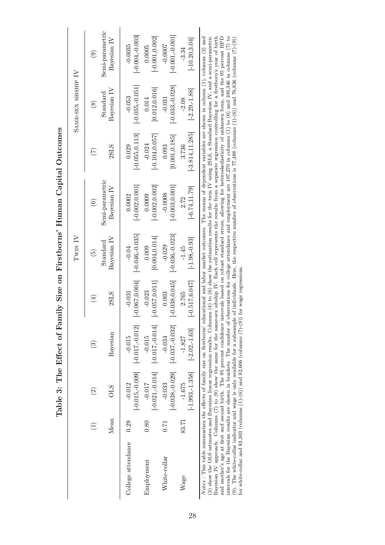Table 3: The Effect of Family Size on Firstborns' Human Capital Outcomes Table 3: The Effect of Family Size on Firstborns' Human Capital Outcomes

|                                                                                                                                                                                                                                                                                                                                                                                                                                                                                                                                                                                                                                                                                                                                                                                                                                                                                                                                                                                                                                                                                                                                                         |       |                                |                               |                               | TWIN IV                                     |                                                                                                                                |                               | SAME-SEX SIBSHIP IV           |                                |
|---------------------------------------------------------------------------------------------------------------------------------------------------------------------------------------------------------------------------------------------------------------------------------------------------------------------------------------------------------------------------------------------------------------------------------------------------------------------------------------------------------------------------------------------------------------------------------------------------------------------------------------------------------------------------------------------------------------------------------------------------------------------------------------------------------------------------------------------------------------------------------------------------------------------------------------------------------------------------------------------------------------------------------------------------------------------------------------------------------------------------------------------------------|-------|--------------------------------|-------------------------------|-------------------------------|---------------------------------------------|--------------------------------------------------------------------------------------------------------------------------------|-------------------------------|-------------------------------|--------------------------------|
|                                                                                                                                                                                                                                                                                                                                                                                                                                                                                                                                                                                                                                                                                                                                                                                                                                                                                                                                                                                                                                                                                                                                                         |       | $\widehat{\Omega}$             | $\widehat{\mathbf{e}}$        | $(\pm)$                       | $\widetilde{5}$                             | $\widehat{\mathbf{e}}$                                                                                                         | $(\zeta)$                     | $\circledS$                   | $\widehat{e}$                  |
|                                                                                                                                                                                                                                                                                                                                                                                                                                                                                                                                                                                                                                                                                                                                                                                                                                                                                                                                                                                                                                                                                                                                                         | Mean  | <b>OLS</b>                     | Bayesian                      | 2SLS                          | Bayesian IV<br>$\operatorname{Standardard}$ | Semi-parametric<br>Bayesian IV                                                                                                 | 2SLS                          | Bayesian IV<br>Standard       | Semi-parametric<br>Bayesian IV |
| College attendance                                                                                                                                                                                                                                                                                                                                                                                                                                                                                                                                                                                                                                                                                                                                                                                                                                                                                                                                                                                                                                                                                                                                      | 0.29  | $[-0.015, -0.009]$<br>$-0.012$ | $[-0.017,-0.012]$<br>$-0.015$ | $-0.067, 0.004$<br>$-0.031$   | $[-0.046, 0.035]$<br>$-0.04$                | $[-0.002, 0.001]$<br>0.0002                                                                                                    | $[-0.055, 0.113]$<br>0.029    | $[-0.055,-0.051]$<br>$-0.053$ | $[-0.004, 0.003]$<br>$-0.0035$ |
| Employment                                                                                                                                                                                                                                                                                                                                                                                                                                                                                                                                                                                                                                                                                                                                                                                                                                                                                                                                                                                                                                                                                                                                              | 0.80  | $[-0.021, -0.014]$<br>$-0.017$ | $[-0.017,-0.014]$<br>$-0.015$ | $[-0.057, 0.011]$<br>$-0.023$ | [0.004, 0.014]<br>0.009                     | $[-0.002, 0.002]$<br>0.0009                                                                                                    | $[-0.104, 0.057]$<br>$-0.024$ | [0.012, 0.016]<br>0.014       | $[-0.001, 0.002]$<br>0.0005    |
| White-collar                                                                                                                                                                                                                                                                                                                                                                                                                                                                                                                                                                                                                                                                                                                                                                                                                                                                                                                                                                                                                                                                                                                                            | 0.71  | $[-0.038,-0.029]$<br>$-0.033$  | $[-0.037, 0.032]$<br>$-0.034$ | $[-0.038, 0.045]$<br>0.003    | $[-0.036, 0.023]$<br>$-0.029$               | $[-0.003, 0.001]$<br>$-0.0008$                                                                                                 | [0.001, 0.185]<br>0.093       | $[-0.033,-0.028]$<br>$-0.031$ | $[-0.001, 0.001]$<br>$-0.0007$ |
| Wage                                                                                                                                                                                                                                                                                                                                                                                                                                                                                                                                                                                                                                                                                                                                                                                                                                                                                                                                                                                                                                                                                                                                                    | 83.71 | $[-1.993, -1.358]$<br>$-1.675$ | $[-2.02,-1.63]$<br>$-1.827$   | $-0.517, 6.047$<br>2.765      | $[-1.98,-0.93]$<br>$-1.45$                  | $[-6.74, 11.79]$<br>2.72                                                                                                       | $[-3.814, 11.285]$<br>3.736   | $[-2.29,-1.88]$<br>$-2.08$    | $[-10.20, 3.04]$<br>$-3.34$    |
| (3) show the OLS estimates and Bayesian linear regression results. Columns (4) to (6) show the estimation results for the twin IV using 2SLS, a Standard Bayesian IV, and a semi-parametric<br>intervals for the Bayesian results are shown in brackets. The number of observations for college attendance and employment are 107,270 in columns (1) to (6) and 106,346 in columns (7) to<br>Notes : This table summarizes the effects of family size on firstborns' educational and labor market outcomes. The means of dependent variables are shown in column $(1)$ , columns $(2)$ and<br>Bayesian IV approach. Columns (7) to (9) show the same for the same-sex sibship IV. Each cell represents the results from a separate regression controlling for a firstborn's year of birth<br>and mother's age at first and second birth. The 95 percent confidence intervals based on robust standard errors, allowing for heteroskedasticity of unknown form, and the 95 percent HPD<br>(9). The white-collar indicator and wage is only available for a subsample<br>for white-collar and 83,303 (columns $(1)-(6)$ ) and 82,606 (columns $(7)-(9)$ ) |       |                                |                               | for wage regressions.         |                                             | of individuals. Here, the respective number of observations is $77,488$ (columns $(1)-(6)$ ) and $76,836$ (columns $(7)-(9)$ ) |                               |                               |                                |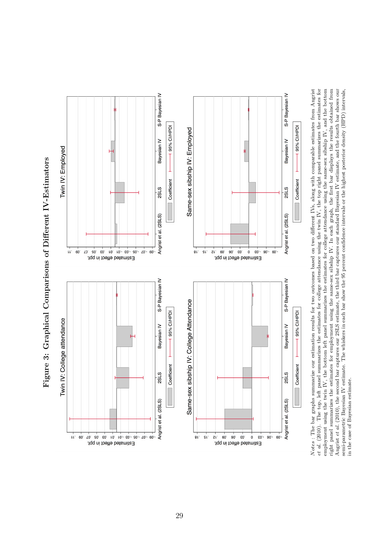

employment using the twin IV, the bottom left panel summarizes the estimates for college attendance using the same-sex sibship IV, and the bottom<br>right panel summarizes the estimates for employment using the same-sex sibs Notes : The bar graphs summarize our estimation results for two outcomes based on two different IVs, along with comparable estimates from Angrist *et al.* (2010). The top, left panel summarizes the estimates for college attendance using the twin IV, the top right panel summarizes the estimates for Angrist *et a.* (2010), the second bar captures our 25LS estimate, the third bar captures our standard Bayesian IV estimate, and the fourth bar shows our<br>semi-parametric Bayesian IV estimate. The whiskers in each bar show et al. (2010). The top, left panel summarizes the estimates for college attendance using the twin IV, the top right panel summarizes the estimates for employment using the twin IV, the bottom left panel summarizes the estimates for college attendance using the same-sex sibship IV, and the bottom  $\frac{1}{2}$ . right panel summarizes the estimates for employment using the same-sex sibship IV. In each graph, the first bar displays the results obtained from  $\frac{1}{n}$ Angrist et al. (2010), the second bar captures our 2SLS estimate, the third bar captures our standard Bayesian IV estimate, and the fourth bar shows our N otes : The bar graphs summarize our estimation results for two outcomes based on two different IVs, along with comparable estimates from Angrist semi-parametric Bayesian IV estimate. The whiskers in each bar show the 95 percent confidence intervals or the highest posterior density (HPD) intervals, in the case of Bayesian estimate.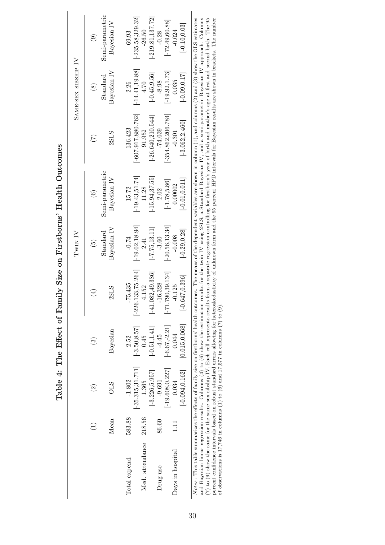|                  |        |                    |                 |                      | Twin IV                 |                                |                       | SAME-SEX SIBSHIP IV     |                                |
|------------------|--------|--------------------|-----------------|----------------------|-------------------------|--------------------------------|-----------------------|-------------------------|--------------------------------|
|                  |        | $\widehat{\Omega}$ | වි              | $(\pm)$              | $\widetilde{5}$         | $\odot$                        | $(\overline{7})$      | $\circledS$             | $\widehat{e}$                  |
|                  | Mean   | <b>OLS</b>         | Bayesian        | 2SLS                 | Bayesian IV<br>Standard | Semi-parametric<br>Bayesian IV | 2SLS                  | Standard<br>Bayesian IV | Semi-parametric<br>Bayesian IV |
| Total expend.    | 583.88 | $-1.802$           | 2.52            | $-75.435$            | $-0.74$                 | 15.72                          | 136.423               | 2.26                    | 69.93                          |
|                  |        | $-35.315, 31.711$  | $[-3.50, 8.57]$ | $[-226.133, 75.264]$ | $[-19.02, 18.94]$       | $[-19.43, 51.74]$              | $[-607.917, 880.762]$ | $[-14.41, 19.88]$       | $[-235.58, 329.32]$            |
| Med. attendance  | 218.56 | 1.365              | 0.45            | 4.152                | 2.41                    | 11.28                          | 91.952                | 4.70                    | $-26.50$                       |
|                  |        | $[-3.226, 5.957]$  | $[-0.51, 1.41]$ | $[-41.082, 49.386]$  | $[-7.75, 13.11]$        | $[-15.94, 37.55]$              | $-26.640,210.544$     | $[-0.45, 9.56]$         | $[-219.81, 137.72]$            |
| Drug use         | 86.60  | $-9.691$           | $-4.45$         | $-16.328$            | $-3.60$                 | 2.02                           | $-74.039$             | $-8.98$                 | $-0.28$                        |
|                  |        | $-19.608, 0.227$   | $[-6.67,-2.21]$ | $[-71.790, 39.134]$  | $-20.56, 13.34$         | $[-1.78, 5.86]$                | $-354.862,206.784$    | $[-19.92, 1.73]$        | $[-72.49, 60.88]$              |
| Days in hospital | Ē      | 0.034              | 0.044           | $-0.125$             | $-0.008$                | 0.00002                        | $-0.301$              | 0.035                   | $-0.024$                       |
|                  |        | $[-0.094, 0.162]$  | [0.015, 0.068]  | $[-0.647, 0.396]$    | $[-0.29, 0.28]$         | $[-0.01, 0.011]$               | $[-3.062, 2.460]$     | $[-0.09, 0.17]$         | $[-0.10, 0.03]$                |

Table 4: The Effect of Family Size on Firstborns' Health Outcomes Table 4: The Effect of Family Size on Firstborns' Health Outcomes

and Bayesian linear regression results. Columns (4) to (6) show the estimation results for the twin IV using 2SLS, a Standard Bayesian IV, and a semi-parametric Bayesian IV approach. Columns (7) to (9) show the same-sex s Notes: This table summarizes the effects of family size on firstborms' health outcomes. The means of the dependent variables are shown in column  $(1)$ , and columns  $(2)$  and  $(3)$  show the OLS estimates Notes : This table summarizes the effects of family size on firstborns' health outcomes. The means of the dependent variables are shown in column (1), and columns (2) and (3) show the OLS estimates and Bayesian linear regression results. Columns (4) to (6) show the estimation results for the twin IV using 2SLS, a Standard Bayesian IV, and a semi-parametric Bayesian IV approach. Columns (7) to (9) show the same for the same-sex sibship IV. Each cell represents results from a separate regression controlling for firstborn's year of birth and mother's age at first and second birth. The 95 percent confidence intervals based on robust standard errors allowing for heteroskedasticity of unknown form and the 95 percent HPD intervals for Bayesian results are shown in brackets. The number of observations is 17,746 in columns (1) to (6) and 17,577 in columns (7) to (9).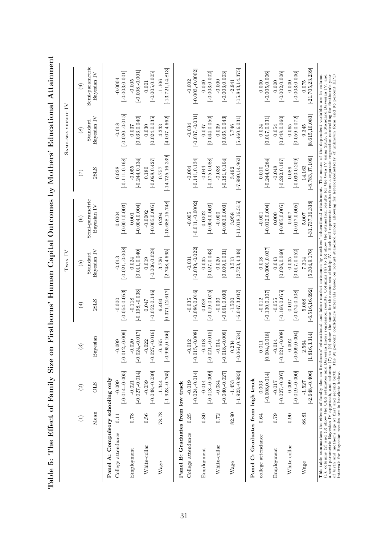|                                                                                                                                                                                                                                                                                                                                                                                                                                                                                                                                                                                                                                                                                              |                 |                                |                                     |                               | Twin IV                        |                                |                               | SAME-SEX SIBSHIP IV                                  |                                 |
|----------------------------------------------------------------------------------------------------------------------------------------------------------------------------------------------------------------------------------------------------------------------------------------------------------------------------------------------------------------------------------------------------------------------------------------------------------------------------------------------------------------------------------------------------------------------------------------------------------------------------------------------------------------------------------------------|-----------------|--------------------------------|-------------------------------------|-------------------------------|--------------------------------|--------------------------------|-------------------------------|------------------------------------------------------|---------------------------------|
|                                                                                                                                                                                                                                                                                                                                                                                                                                                                                                                                                                                                                                                                                              | $\widehat{\Xi}$ | $\odot$                        | $\odot$                             | $\left( 4\right)$             | $\widetilde{\mathfrak{G}}$     | $\widehat{\mathbf{e}}$         | $\mathfrak{S}$                | $\circledast$                                        | $\widehat{e}$                   |
|                                                                                                                                                                                                                                                                                                                                                                                                                                                                                                                                                                                                                                                                                              | Mean            | <b>OLS</b>                     | Bayesian                            | 2SLS                          | Bayesian IV<br>Standard        | Semi-parametric<br>Bayesian IV | 2SLS                          | Bayesian IV<br>Standard                              | Semi-parametric<br>Bayesian IV  |
| Panel A: Compulsory schooling only                                                                                                                                                                                                                                                                                                                                                                                                                                                                                                                                                                                                                                                           |                 |                                |                                     |                               |                                |                                |                               |                                                      |                                 |
| College attendance                                                                                                                                                                                                                                                                                                                                                                                                                                                                                                                                                                                                                                                                           | 0.11            | $[-0.014,-0.005]$<br>$-0.009$  | $[-0.012, -0.006]$<br>$-0.009$      | $[-0.054, 0.053]$<br>$-0.000$ | $[-0.021, -0.008]$<br>$-0.013$ | $[-0.001, 0.003]$<br>0.0004    | $[-0.111, 0.168]$<br>0.028    | $[-0.020, -0.015]$<br>$-0.018$                       | $[-0.003, 0.001]$<br>$-0.0004$  |
| Employment                                                                                                                                                                                                                                                                                                                                                                                                                                                                                                                                                                                                                                                                                   | 0.78            | $[-0.027, -0.014]$<br>$-0.021$ | $[-0.024, 0.017]$<br>$-0.020$       | $[-0.198,-0.038]$<br>$-0.118$ | [0.011, 0.040]<br>0.024        | $[-0.004, 0.004]$<br>0.001     | $[-0.244, 0.134]$<br>$-0.055$ | [0.033, 0.040]<br>0.037                              | $[-0.008,-0.001]$<br>$-0.005$   |
| White-collar                                                                                                                                                                                                                                                                                                                                                                                                                                                                                                                                                                                                                                                                                 | 0.56            | $[-0.048,-0.030]$<br>$-0.039$  | $[-0.027, -0.016]$<br>$-0.022$      | $[-0.052, 0.146]$<br>0.047    | $[-0.006, 0.028]$<br>0.019     | $[-0.005, 0.005]$<br>$-0.0002$ | $[-0.068, 0.427]$<br>0.180    | [0.024, 0.035]<br>0.030                              | $[-0.005, 0.005]$<br>0.001      |
| Wage                                                                                                                                                                                                                                                                                                                                                                                                                                                                                                                                                                                                                                                                                         | 78.78           | $[-1.923,-0.765]$<br>$-1.344$  | $[-0.995, 0.166]$<br>$-0.165$       | [0.371, 12.617]<br>6.494      | [2.748, 4.695]<br>3.726        | $[-15.688, 15.748]$<br>0.294   | $[-14.725, 16.239]$<br>0.757  | [4.007, 4.662]<br>4.333                              | $[-13.721, 14.813]$<br>$-1.106$ |
| Panel B: Graduates from low track                                                                                                                                                                                                                                                                                                                                                                                                                                                                                                                                                                                                                                                            |                 |                                |                                     |                               |                                |                                |                               |                                                      |                                 |
| College attendance                                                                                                                                                                                                                                                                                                                                                                                                                                                                                                                                                                                                                                                                           | 0.25            | $[-0.024, 0.014]$<br>$-0.019$  | $[-0.015, -0.008]$<br>$-0.012$      | $[-0.086, 0.016]$<br>$-0.035$ | $[-0.039, 0.022]$<br>$-0.031$  | $[-0.011,-0.0002]$<br>$-0.005$ | $[-0.141, 0.134]$<br>$-0.004$ | $[-0.037, -0.031]$<br>$-0.034$                       | $[-0.003, 0.0002]$<br>$-0.002$  |
| Employment                                                                                                                                                                                                                                                                                                                                                                                                                                                                                                                                                                                                                                                                                   | 0.80            | $[-0.018,-0.009]$<br>$-0.014$  | ī٥<br>$[-0.021, -0.01]$<br>$-0.018$ | $[-0.019, 0.075]$<br>0.028    | [0.027, 0.043]<br>0.035        | $[-0.004, 0.003]$<br>0.0002    | $[-0.175, 0.088]$<br>$-0.044$ | [0.044, 0.050]<br>0.047                              | $[-0.003, 0.002]$<br>0.000      |
| White-collar                                                                                                                                                                                                                                                                                                                                                                                                                                                                                                                                                                                                                                                                                 | 0.72            | $[-0.040,-0.027]$<br>$-0.034$  | $[-0.018,-0.009]$<br>$-0.014$       | $[-0.091, 0.030]$<br>$-0.030$ | [0.009, 0.031]<br>0.020        | $[-0.003, 0.003]$<br>$-0.000$  | $[-0.181, 0.104]$<br>$-0.038$ | [0.035, 0.043]<br>0.039                              | $[-0.003, 0.003]$<br>$-0.000$   |
| Wage                                                                                                                                                                                                                                                                                                                                                                                                                                                                                                                                                                                                                                                                                         | 82.90           | $[-1.923,-0.983]$<br>$-1.453$  | $[-0.064, 0.534]$<br>0.234          | $[-6.047, 3.047]$<br>$-1.500$ | [2.723, 4.348]<br>3.513        | $[-11.018, 16.515]$<br>3.958   | $[-7.980, 14.963]$<br>3.492   | [5.460, 6.031]<br>5.746                              | $[-15.843, 14.375]$<br>$-2.941$ |
| Panel C: Graduates from high track                                                                                                                                                                                                                                                                                                                                                                                                                                                                                                                                                                                                                                                           |                 |                                |                                     |                               |                                |                                |                               |                                                      |                                 |
| college attendance                                                                                                                                                                                                                                                                                                                                                                                                                                                                                                                                                                                                                                                                           | 0.64            | $[-0.008, 0.014]$<br>0.003     | [0.004, 0.018]<br>0.011             | $[-0.130, 0.107]$<br>$-0.012$ | $[-0.0001, 0.037]$<br>0.018    | $[-0.012, 0.004]$<br>$-0.001$  | $[-0.244, 0.264]$<br>0.010    | [0.017, 0.031]<br>0.024                              | $[-0.005, 0.006]$<br>0.000      |
| Employment                                                                                                                                                                                                                                                                                                                                                                                                                                                                                                                                                                                                                                                                                   | 0.79            | $[-0.027,-0.007]$<br>$-0.017$  | $[-0.021, -0.008]$<br>$-0.014$      | $[-0.166, 0.055]$<br>$-0.055$ | [0.026, 0.060]<br>0.043        | $[-0.005, 0.005]$<br>0.000     | $[-0.292, 0.197]$<br>$-0.048$ | [0.048, 0.060]<br>0.054                              | $[-0.002, 0.006]$<br>0.000      |
| White-collar                                                                                                                                                                                                                                                                                                                                                                                                                                                                                                                                                                                                                                                                                 | 0.90            | $[-0.019, -0.000]$<br>$-0.009$ | $[-0.009, 0.004]$<br>$-0.002$       | $[-0.074, 0.108]$<br>0.017    | [0.017, 0.052]<br>0.035        | $[-0.017, 0.005]$<br>$-0.007$  | $[-0.030, 0.209]$<br>0.089    | [0.059, 0.072]<br>0.065                              | $[-0.003, 0.006]$<br>0.000      |
| Wage                                                                                                                                                                                                                                                                                                                                                                                                                                                                                                                                                                                                                                                                                         | 86.81           | $[-2.648,-0.406]$<br>$-1.527$  | [1.816, 3.314]<br>2.564             | $[-6.516, 16.692]$<br>5.088   | [5.304, 9.176]<br>7.314        | $[-31.737, 36.338]$<br>5.007   | $[-8.783, 37.109]$<br>14.163  | [8.615, 10.083]<br>9.345                             | $[-21.705, 23.239]$<br>0.075    |
| (1), columns (2) and (3) show the OLS estimates and Bayesian linear regression results. Columns (4) to (6) show the estimation results for the twin IV using 28LS, a Standard Bayesian IV, and<br>a semi-parametric Bayesian IV approach, and columns (7) to (9) show the same for the same-sex sibship IV. Bach cell represents results from a separate regression controlling for firstborn's year<br>of birth and mother's age a<br>This table summarizes the effects of family size on firstborns' educational and labor market outcomes by mothers' educational attainment. The means of the dependent variables are in column<br>intervals for Bavesian results are in brackets below. |                 |                                |                                     |                               |                                |                                |                               | separate regression controlling for firstborn's year |                                 |